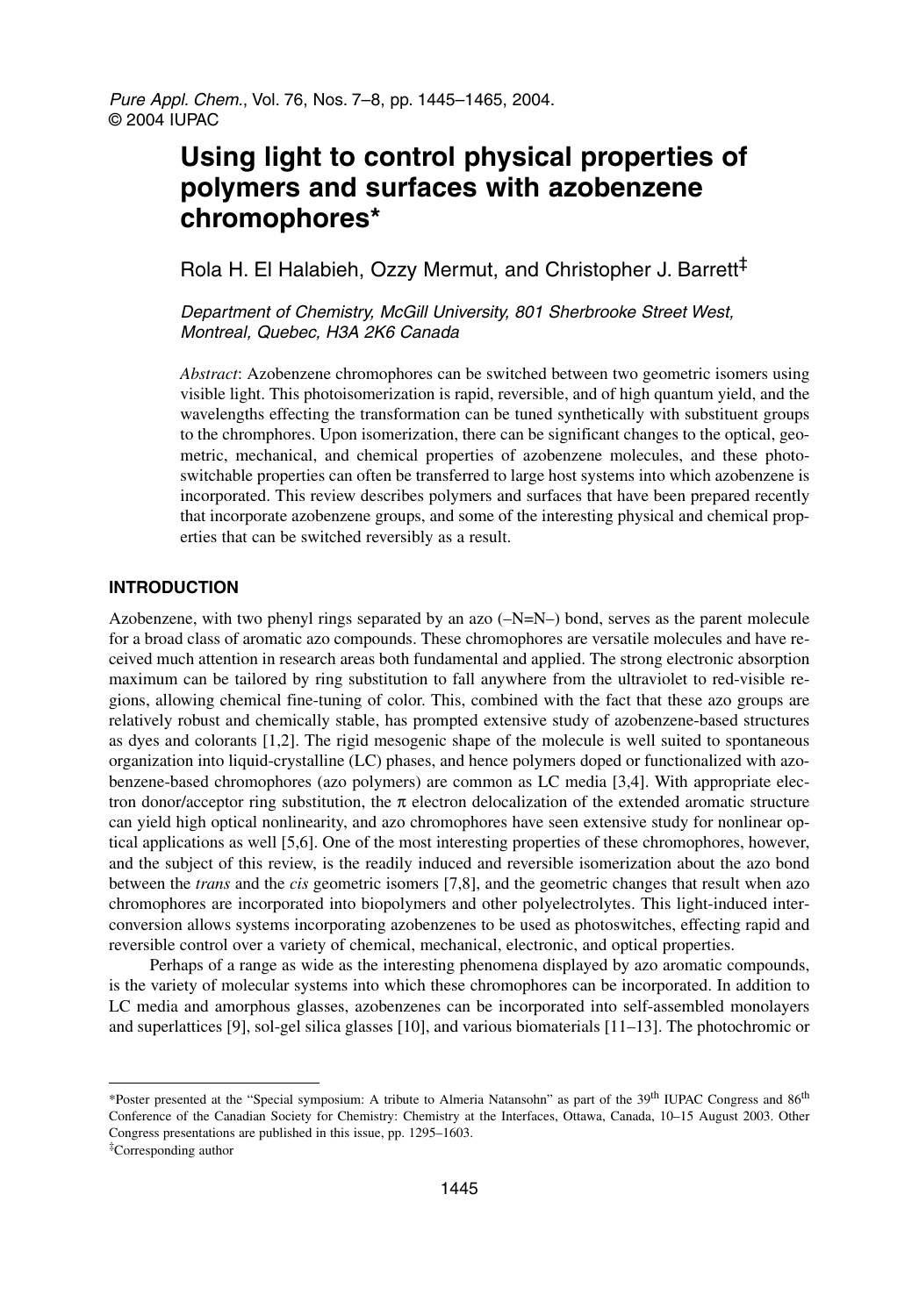# **Using light to control physical properties of polymers and surfaces with azobenzene chromophores\***

Rola H. El Halabieh, Ozzy Mermut, and Christopher J. Barrett‡

Department of Chemistry, McGill University, 801 Sherbrooke Street West, Montreal, Quebec, H3A 2K6 Canada

*Abstract*: Azobenzene chromophores can be switched between two geometric isomers using visible light. This photoisomerization is rapid, reversible, and of high quantum yield, and the wavelengths effecting the transformation can be tuned synthetically with substituent groups to the chromphores. Upon isomerization, there can be significant changes to the optical, geometric, mechanical, and chemical properties of azobenzene molecules, and these photoswitchable properties can often be transferred to large host systems into which azobenzene is incorporated. This review describes polymers and surfaces that have been prepared recently that incorporate azobenzene groups, and some of the interesting physical and chemical properties that can be switched reversibly as a result.

# **INTRODUCTION**

Azobenzene, with two phenyl rings separated by an azo  $(-N=N-)$  bond, serves as the parent molecule for a broad class of aromatic azo compounds. These chromophores are versatile molecules and have received much attention in research areas both fundamental and applied. The strong electronic absorption maximum can be tailored by ring substitution to fall anywhere from the ultraviolet to red-visible regions, allowing chemical fine-tuning of color. This, combined with the fact that these azo groups are relatively robust and chemically stable, has prompted extensive study of azobenzene-based structures as dyes and colorants [1,2]. The rigid mesogenic shape of the molecule is well suited to spontaneous organization into liquid-crystalline (LC) phases, and hence polymers doped or functionalized with azobenzene-based chromophores (azo polymers) are common as LC media [3,4]. With appropriate electron donor/acceptor ring substitution, the  $\pi$  electron delocalization of the extended aromatic structure can yield high optical nonlinearity, and azo chromophores have seen extensive study for nonlinear optical applications as well [5,6]. One of the most interesting properties of these chromophores, however, and the subject of this review, is the readily induced and reversible isomerization about the azo bond between the *trans* and the *cis* geometric isomers [7,8], and the geometric changes that result when azo chromophores are incorporated into biopolymers and other polyelectrolytes. This light-induced interconversion allows systems incorporating azobenzenes to be used as photoswitches, effecting rapid and reversible control over a variety of chemical, mechanical, electronic, and optical properties.

Perhaps of a range as wide as the interesting phenomena displayed by azo aromatic compounds, is the variety of molecular systems into which these chromophores can be incorporated. In addition to LC media and amorphous glasses, azobenzenes can be incorporated into self-assembled monolayers and superlattices [9], sol-gel silica glasses [10], and various biomaterials [11–13]. The photochromic or

<sup>\*</sup>Poster presented at the "Special symposium: A tribute to Almeria Natansohn" as part of the 39<sup>th</sup> IUPAC Congress and 86<sup>th</sup> Conference of the Canadian Society for Chemistry: Chemistry at the Interfaces, Ottawa, Canada, 10–15 August 2003. Other Congress presentations are published in this issue, pp. 1295–1603.

<sup>‡</sup> Corresponding author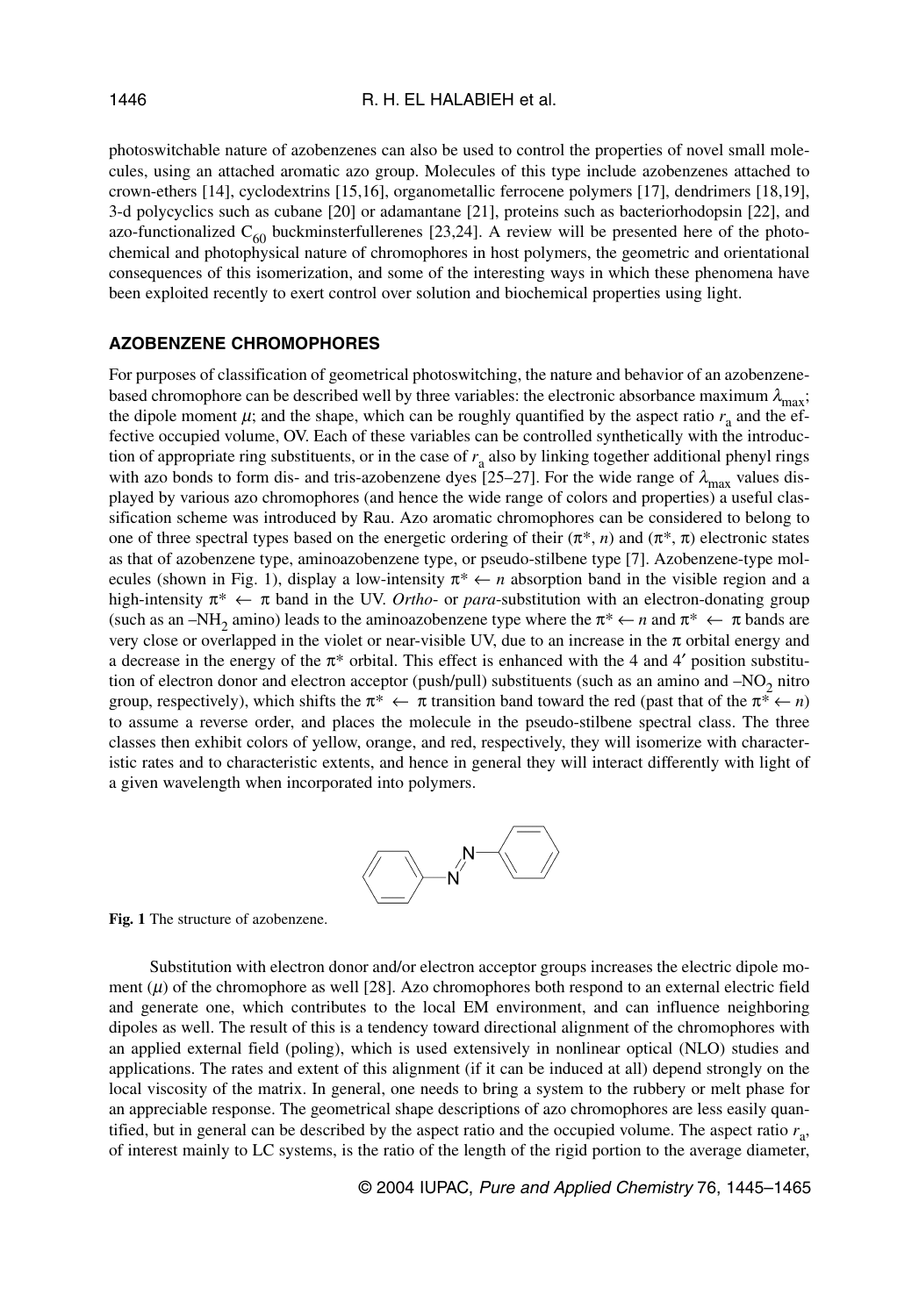photoswitchable nature of azobenzenes can also be used to control the properties of novel small molecules, using an attached aromatic azo group. Molecules of this type include azobenzenes attached to crown-ethers [14], cyclodextrins [15,16], organometallic ferrocene polymers [17], dendrimers [18,19], 3-d polycyclics such as cubane [20] or adamantane [21], proteins such as bacteriorhodopsin [22], and azo-functionalized  $C_{60}$  buckminsterfullerenes [23,24]. A review will be presented here of the photochemical and photophysical nature of chromophores in host polymers, the geometric and orientational consequences of this isomerization, and some of the interesting ways in which these phenomena have been exploited recently to exert control over solution and biochemical properties using light.

# **AZOBENZENE CHROMOPHORES**

For purposes of classification of geometrical photoswitching, the nature and behavior of an azobenzenebased chromophore can be described well by three variables: the electronic absorbance maximum  $\lambda_{\text{max}}$ ; the dipole moment  $\mu$ ; and the shape, which can be roughly quantified by the aspect ratio  $r_a$  and the effective occupied volume, OV. Each of these variables can be controlled synthetically with the introduction of appropriate ring substituents, or in the case of  $r_a$  also by linking together additional phenyl rings with azo bonds to form dis- and tris-azobenzene dyes [25–27]. For the wide range of  $\lambda_{\text{max}}$  values displayed by various azo chromophores (and hence the wide range of colors and properties) a useful classification scheme was introduced by Rau. Azo aromatic chromophores can be considered to belong to one of three spectral types based on the energetic ordering of their  $(\pi^*, n)$  and  $(\pi^*, \pi)$  electronic states as that of azobenzene type, aminoazobenzene type, or pseudo-stilbene type [7]. Azobenzene-type molecules (shown in Fig. 1), display a low-intensity  $\pi^* \leftarrow n$  absorption band in the visible region and a high-intensity  $\pi^* \leftarrow \pi$  band in the UV. *Ortho*- or *para*-substitution with an electron-donating group (such as an –NH<sub>2</sub> amino) leads to the aminoazobenzene type where the  $\pi^* \leftarrow n$  and  $\pi^* \leftarrow \pi$  bands are very close or overlapped in the violet or near-visible UV, due to an increase in the  $\pi$  orbital energy and a decrease in the energy of the  $\pi^*$  orbital. This effect is enhanced with the 4 and 4' position substitution of electron donor and electron acceptor (push/pull) substituents (such as an amino and  $-NO<sub>2</sub>$  nitro group, respectively), which shifts the  $\pi^* \leftarrow \pi$  transition band toward the red (past that of the  $\pi^* \leftarrow n$ ) to assume a reverse order, and places the molecule in the pseudo-stilbene spectral class. The three classes then exhibit colors of yellow, orange, and red, respectively, they will isomerize with characteristic rates and to characteristic extents, and hence in general they will interact differently with light of a given wavelength when incorporated into polymers.



**Fig. 1** The structure of azobenzene.

Substitution with electron donor and/or electron acceptor groups increases the electric dipole moment  $(\mu)$  of the chromophore as well [28]. Azo chromophores both respond to an external electric field and generate one, which contributes to the local EM environment, and can influence neighboring dipoles as well. The result of this is a tendency toward directional alignment of the chromophores with an applied external field (poling), which is used extensively in nonlinear optical (NLO) studies and applications. The rates and extent of this alignment (if it can be induced at all) depend strongly on the local viscosity of the matrix. In general, one needs to bring a system to the rubbery or melt phase for an appreciable response. The geometrical shape descriptions of azo chromophores are less easily quantified, but in general can be described by the aspect ratio and the occupied volume. The aspect ratio  $r_a$ , of interest mainly to LC systems, is the ratio of the length of the rigid portion to the average diameter,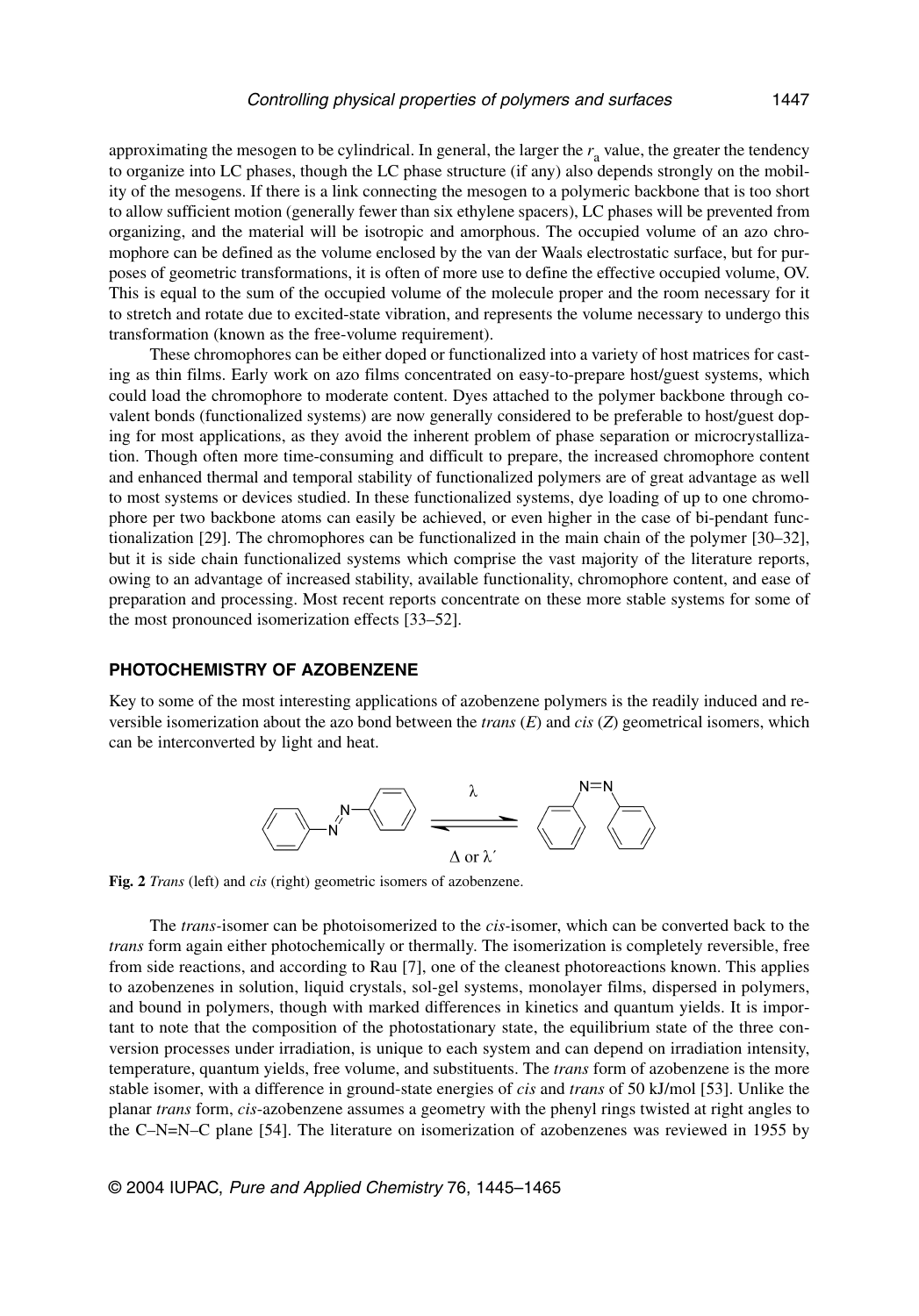approximating the mesogen to be cylindrical. In general, the larger the  $r_a$  value, the greater the tendency to organize into LC phases, though the LC phase structure (if any) also depends strongly on the mobility of the mesogens. If there is a link connecting the mesogen to a polymeric backbone that is too short to allow sufficient motion (generally fewer than six ethylene spacers), LC phases will be prevented from organizing, and the material will be isotropic and amorphous. The occupied volume of an azo chromophore can be defined as the volume enclosed by the van der Waals electrostatic surface, but for purposes of geometric transformations, it is often of more use to define the effective occupied volume, OV. This is equal to the sum of the occupied volume of the molecule proper and the room necessary for it to stretch and rotate due to excited-state vibration, and represents the volume necessary to undergo this transformation (known as the free-volume requirement).

These chromophores can be either doped or functionalized into a variety of host matrices for casting as thin films. Early work on azo films concentrated on easy-to-prepare host/guest systems, which could load the chromophore to moderate content. Dyes attached to the polymer backbone through covalent bonds (functionalized systems) are now generally considered to be preferable to host/guest doping for most applications, as they avoid the inherent problem of phase separation or microcrystallization. Though often more time-consuming and difficult to prepare, the increased chromophore content and enhanced thermal and temporal stability of functionalized polymers are of great advantage as well to most systems or devices studied. In these functionalized systems, dye loading of up to one chromophore per two backbone atoms can easily be achieved, or even higher in the case of bi-pendant functionalization [29]. The chromophores can be functionalized in the main chain of the polymer [30–32], but it is side chain functionalized systems which comprise the vast majority of the literature reports, owing to an advantage of increased stability, available functionality, chromophore content, and ease of preparation and processing. Most recent reports concentrate on these more stable systems for some of the most pronounced isomerization effects [33–52].

## **PHOTOCHEMISTRY OF AZOBENZENE**

Key to some of the most interesting applications of azobenzene polymers is the readily induced and reversible isomerization about the azo bond between the *trans* (*E*) and *cis* (*Z*) geometrical isomers, which can be interconverted by light and heat.



**Fig. 2** *Trans* (left) and *cis* (right) geometric isomers of azobenzene.

The *trans-*isomer can be photoisomerized to the *cis-*isomer, which can be converted back to the *trans* form again either photochemically or thermally. The isomerization is completely reversible, free from side reactions, and according to Rau [7], one of the cleanest photoreactions known. This applies to azobenzenes in solution, liquid crystals, sol-gel systems, monolayer films, dispersed in polymers, and bound in polymers, though with marked differences in kinetics and quantum yields. It is important to note that the composition of the photostationary state, the equilibrium state of the three conversion processes under irradiation, is unique to each system and can depend on irradiation intensity, temperature, quantum yields, free volume, and substituents. The *trans* form of azobenzene is the more stable isomer, with a difference in ground-state energies of *cis* and *trans* of 50 kJ/mol [53]. Unlike the planar *trans* form, *cis*-azobenzene assumes a geometry with the phenyl rings twisted at right angles to the C–N=N–C plane [54]. The literature on isomerization of azobenzenes was reviewed in 1955 by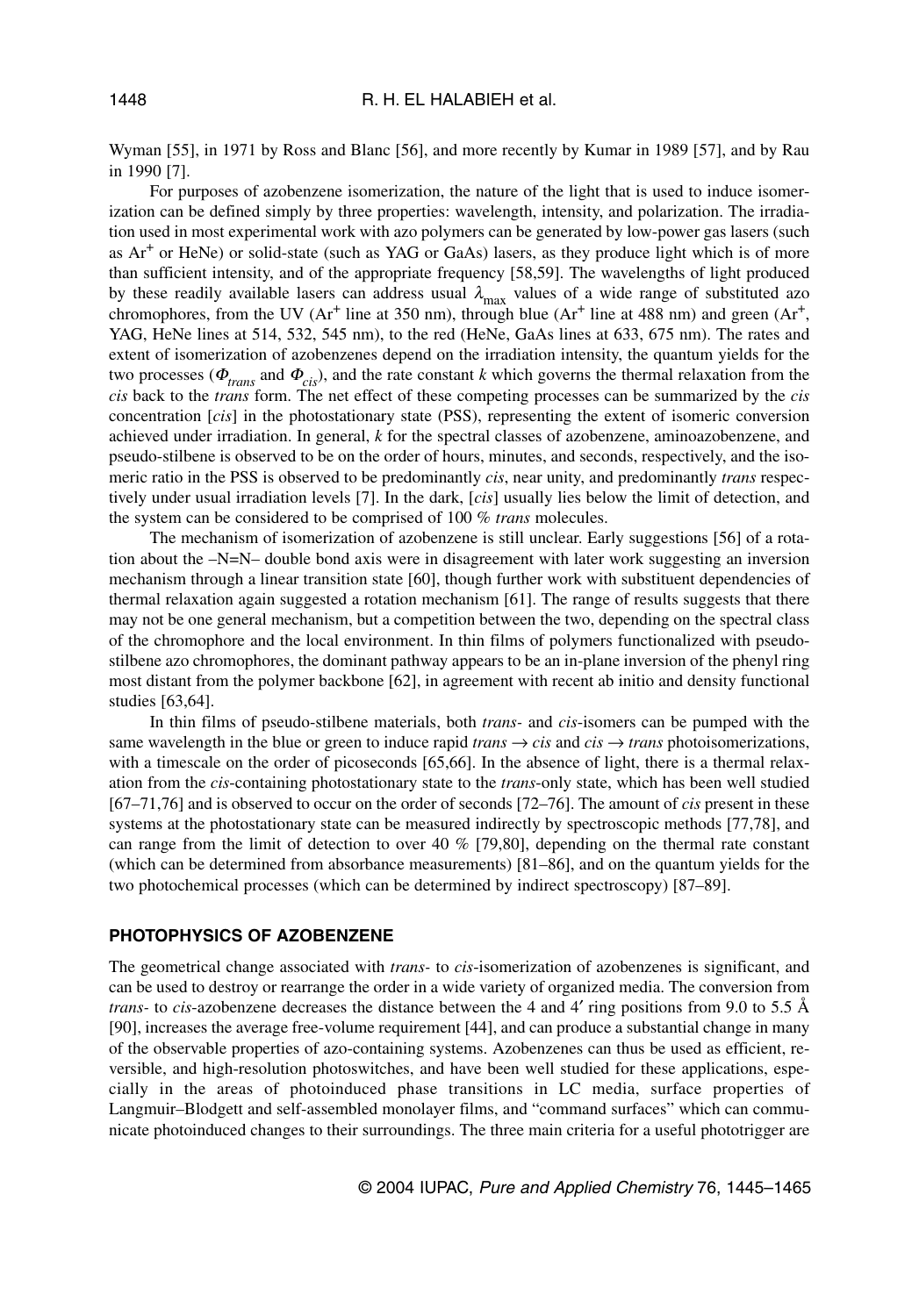Wyman [55], in 1971 by Ross and Blanc [56], and more recently by Kumar in 1989 [57], and by Rau in 1990 [7].

For purposes of azobenzene isomerization, the nature of the light that is used to induce isomerization can be defined simply by three properties: wavelength, intensity, and polarization. The irradiation used in most experimental work with azo polymers can be generated by low-power gas lasers (such as  $Ar<sup>+</sup>$  or HeNe) or solid-state (such as YAG or GaAs) lasers, as they produce light which is of more than sufficient intensity, and of the appropriate frequency [58,59]. The wavelengths of light produced by these readily available lasers can address usual  $\lambda_{\text{max}}$  values of a wide range of substituted azo chromophores, from the UV (Ar<sup>+</sup> line at 350 nm), through blue (Ar<sup>+</sup> line at 488 nm) and green (Ar<sup>+</sup>, YAG, HeNe lines at 514, 532, 545 nm), to the red (HeNe, GaAs lines at 633, 675 nm). The rates and extent of isomerization of azobenzenes depend on the irradiation intensity, the quantum yields for the two processes ( $\Phi_{trans}$  and  $\Phi_{cis}$ ), and the rate constant *k* which governs the thermal relaxation from the *cis* back to the *trans* form. The net effect of these competing processes can be summarized by the *cis* concentration [*cis*] in the photostationary state (PSS), representing the extent of isomeric conversion achieved under irradiation. In general, *k* for the spectral classes of azobenzene, aminoazobenzene, and pseudo-stilbene is observed to be on the order of hours, minutes, and seconds, respectively, and the isomeric ratio in the PSS is observed to be predominantly *cis*, near unity, and predominantly *trans* respectively under usual irradiation levels [7]. In the dark, [*cis*] usually lies below the limit of detection, and the system can be considered to be comprised of 100 % *trans* molecules.

The mechanism of isomerization of azobenzene is still unclear. Early suggestions [56] of a rotation about the –N=N– double bond axis were in disagreement with later work suggesting an inversion mechanism through a linear transition state [60], though further work with substituent dependencies of thermal relaxation again suggested a rotation mechanism [61]. The range of results suggests that there may not be one general mechanism, but a competition between the two, depending on the spectral class of the chromophore and the local environment. In thin films of polymers functionalized with pseudostilbene azo chromophores, the dominant pathway appears to be an in-plane inversion of the phenyl ring most distant from the polymer backbone [62], in agreement with recent ab initio and density functional studies [63,64].

In thin films of pseudo-stilbene materials, both *trans-* and *cis*-isomers can be pumped with the same wavelength in the blue or green to induce rapid *trans*  $\rightarrow$  *cis* and *cis*  $\rightarrow$  *trans* photoisomerizations, with a timescale on the order of picoseconds [65,66]. In the absence of light, there is a thermal relaxation from the *cis*-containing photostationary state to the *trans*-only state, which has been well studied [67–71,76] and is observed to occur on the order of seconds [72–76]. The amount of *cis* present in these systems at the photostationary state can be measured indirectly by spectroscopic methods [77,78], and can range from the limit of detection to over 40 % [79,80], depending on the thermal rate constant (which can be determined from absorbance measurements) [81–86], and on the quantum yields for the two photochemical processes (which can be determined by indirect spectroscopy) [87–89].

## **PHOTOPHYSICS OF AZOBENZENE**

The geometrical change associated with *trans-* to *cis*-isomerization of azobenzenes is significant, and can be used to destroy or rearrange the order in a wide variety of organized media. The conversion from *trans-* to *cis*-azobenzene decreases the distance between the 4 and 4′ ring positions from 9.0 to 5.5 Å [90], increases the average free-volume requirement [44], and can produce a substantial change in many of the observable properties of azo-containing systems. Azobenzenes can thus be used as efficient, reversible, and high-resolution photoswitches, and have been well studied for these applications, especially in the areas of photoinduced phase transitions in LC media, surface properties of Langmuir–Blodgett and self-assembled monolayer films, and "command surfaces" which can communicate photoinduced changes to their surroundings. The three main criteria for a useful phototrigger are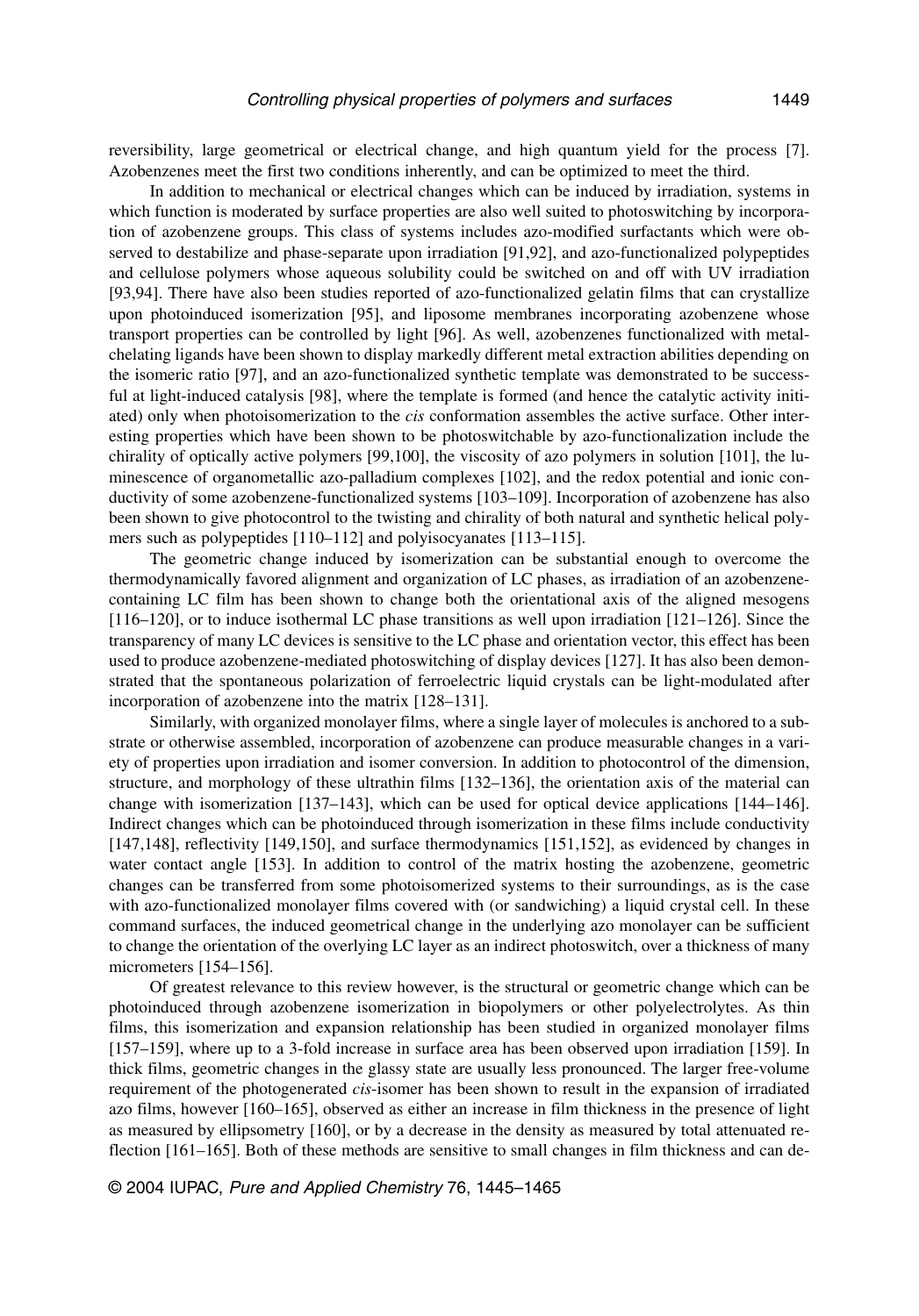reversibility, large geometrical or electrical change, and high quantum yield for the process [7]. Azobenzenes meet the first two conditions inherently, and can be optimized to meet the third.

In addition to mechanical or electrical changes which can be induced by irradiation, systems in which function is moderated by surface properties are also well suited to photoswitching by incorporation of azobenzene groups. This class of systems includes azo-modified surfactants which were observed to destabilize and phase-separate upon irradiation [91,92], and azo-functionalized polypeptides and cellulose polymers whose aqueous solubility could be switched on and off with UV irradiation [93,94]. There have also been studies reported of azo-functionalized gelatin films that can crystallize upon photoinduced isomerization [95], and liposome membranes incorporating azobenzene whose transport properties can be controlled by light [96]. As well, azobenzenes functionalized with metalchelating ligands have been shown to display markedly different metal extraction abilities depending on the isomeric ratio [97], and an azo-functionalized synthetic template was demonstrated to be successful at light-induced catalysis [98], where the template is formed (and hence the catalytic activity initiated) only when photoisomerization to the *cis* conformation assembles the active surface. Other interesting properties which have been shown to be photoswitchable by azo-functionalization include the chirality of optically active polymers [99,100], the viscosity of azo polymers in solution [101], the luminescence of organometallic azo-palladium complexes [102], and the redox potential and ionic conductivity of some azobenzene-functionalized systems [103–109]. Incorporation of azobenzene has also been shown to give photocontrol to the twisting and chirality of both natural and synthetic helical polymers such as polypeptides [110–112] and polyisocyanates [113–115].

The geometric change induced by isomerization can be substantial enough to overcome the thermodynamically favored alignment and organization of LC phases, as irradiation of an azobenzenecontaining LC film has been shown to change both the orientational axis of the aligned mesogens [116–120], or to induce isothermal LC phase transitions as well upon irradiation [121–126]. Since the transparency of many LC devices is sensitive to the LC phase and orientation vector, this effect has been used to produce azobenzene-mediated photoswitching of display devices [127]. It has also been demonstrated that the spontaneous polarization of ferroelectric liquid crystals can be light-modulated after incorporation of azobenzene into the matrix [128–131].

Similarly, with organized monolayer films, where a single layer of molecules is anchored to a substrate or otherwise assembled, incorporation of azobenzene can produce measurable changes in a variety of properties upon irradiation and isomer conversion. In addition to photocontrol of the dimension, structure, and morphology of these ultrathin films [132–136], the orientation axis of the material can change with isomerization [137–143], which can be used for optical device applications [144–146]. Indirect changes which can be photoinduced through isomerization in these films include conductivity [147,148], reflectivity [149,150], and surface thermodynamics [151,152], as evidenced by changes in water contact angle [153]. In addition to control of the matrix hosting the azobenzene, geometric changes can be transferred from some photoisomerized systems to their surroundings, as is the case with azo-functionalized monolayer films covered with (or sandwiching) a liquid crystal cell. In these command surfaces, the induced geometrical change in the underlying azo monolayer can be sufficient to change the orientation of the overlying LC layer as an indirect photoswitch, over a thickness of many micrometers [154–156].

Of greatest relevance to this review however, is the structural or geometric change which can be photoinduced through azobenzene isomerization in biopolymers or other polyelectrolytes. As thin films, this isomerization and expansion relationship has been studied in organized monolayer films [157–159], where up to a 3-fold increase in surface area has been observed upon irradiation [159]. In thick films, geometric changes in the glassy state are usually less pronounced. The larger free-volume requirement of the photogenerated *cis*-isomer has been shown to result in the expansion of irradiated azo films, however [160–165], observed as either an increase in film thickness in the presence of light as measured by ellipsometry [160], or by a decrease in the density as measured by total attenuated reflection [161–165]. Both of these methods are sensitive to small changes in film thickness and can de-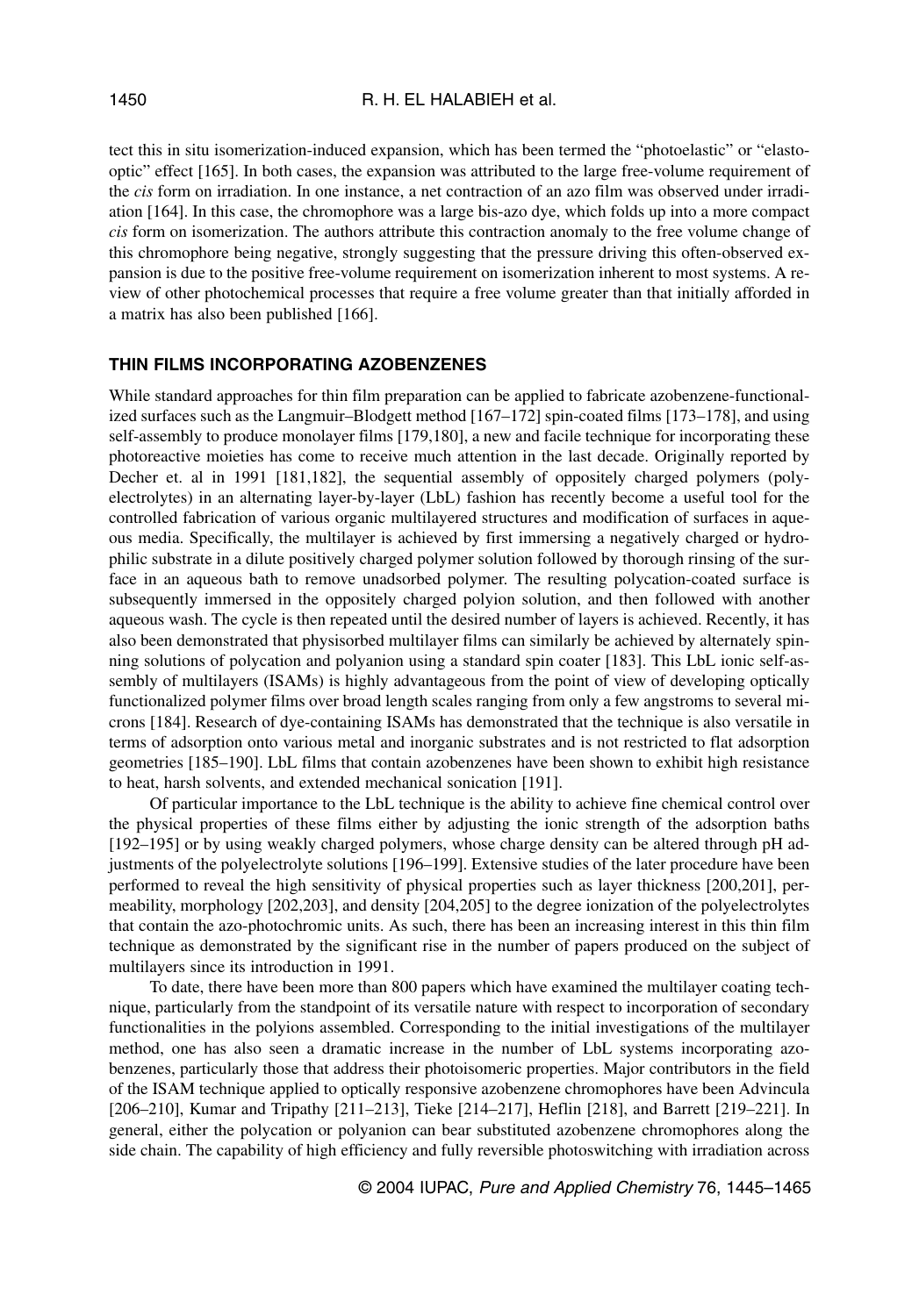tect this in situ isomerization-induced expansion, which has been termed the "photoelastic" or "elastooptic" effect [165]. In both cases, the expansion was attributed to the large free-volume requirement of the *cis* form on irradiation. In one instance, a net contraction of an azo film was observed under irradiation [164]. In this case, the chromophore was a large bis-azo dye, which folds up into a more compact *cis* form on isomerization. The authors attribute this contraction anomaly to the free volume change of this chromophore being negative, strongly suggesting that the pressure driving this often-observed expansion is due to the positive free-volume requirement on isomerization inherent to most systems. A review of other photochemical processes that require a free volume greater than that initially afforded in a matrix has also been published [166].

## **THIN FILMS INCORPORATING AZOBENZENES**

While standard approaches for thin film preparation can be applied to fabricate azobenzene-functionalized surfaces such as the Langmuir–Blodgett method [167–172] spin-coated films [173–178], and using self-assembly to produce monolayer films [179,180], a new and facile technique for incorporating these photoreactive moieties has come to receive much attention in the last decade. Originally reported by Decher et. al in 1991 [181,182], the sequential assembly of oppositely charged polymers (polyelectrolytes) in an alternating layer-by-layer (LbL) fashion has recently become a useful tool for the controlled fabrication of various organic multilayered structures and modification of surfaces in aqueous media. Specifically, the multilayer is achieved by first immersing a negatively charged or hydrophilic substrate in a dilute positively charged polymer solution followed by thorough rinsing of the surface in an aqueous bath to remove unadsorbed polymer. The resulting polycation-coated surface is subsequently immersed in the oppositely charged polyion solution, and then followed with another aqueous wash. The cycle is then repeated until the desired number of layers is achieved. Recently, it has also been demonstrated that physisorbed multilayer films can similarly be achieved by alternately spinning solutions of polycation and polyanion using a standard spin coater [183]. This LbL ionic self-assembly of multilayers (ISAMs) is highly advantageous from the point of view of developing optically functionalized polymer films over broad length scales ranging from only a few angstroms to several microns [184]. Research of dye-containing ISAMs has demonstrated that the technique is also versatile in terms of adsorption onto various metal and inorganic substrates and is not restricted to flat adsorption geometries [185–190]. LbL films that contain azobenzenes have been shown to exhibit high resistance to heat, harsh solvents, and extended mechanical sonication [191].

Of particular importance to the LbL technique is the ability to achieve fine chemical control over the physical properties of these films either by adjusting the ionic strength of the adsorption baths [192–195] or by using weakly charged polymers, whose charge density can be altered through pH adjustments of the polyelectrolyte solutions [196–199]. Extensive studies of the later procedure have been performed to reveal the high sensitivity of physical properties such as layer thickness [200,201], permeability, morphology [202,203], and density [204,205] to the degree ionization of the polyelectrolytes that contain the azo-photochromic units. As such, there has been an increasing interest in this thin film technique as demonstrated by the significant rise in the number of papers produced on the subject of multilayers since its introduction in 1991.

To date, there have been more than 800 papers which have examined the multilayer coating technique, particularly from the standpoint of its versatile nature with respect to incorporation of secondary functionalities in the polyions assembled. Corresponding to the initial investigations of the multilayer method, one has also seen a dramatic increase in the number of LbL systems incorporating azobenzenes, particularly those that address their photoisomeric properties. Major contributors in the field of the ISAM technique applied to optically responsive azobenzene chromophores have been Advincula [206–210], Kumar and Tripathy [211–213], Tieke [214–217], Heflin [218], and Barrett [219–221]. In general, either the polycation or polyanion can bear substituted azobenzene chromophores along the side chain. The capability of high efficiency and fully reversible photoswitching with irradiation across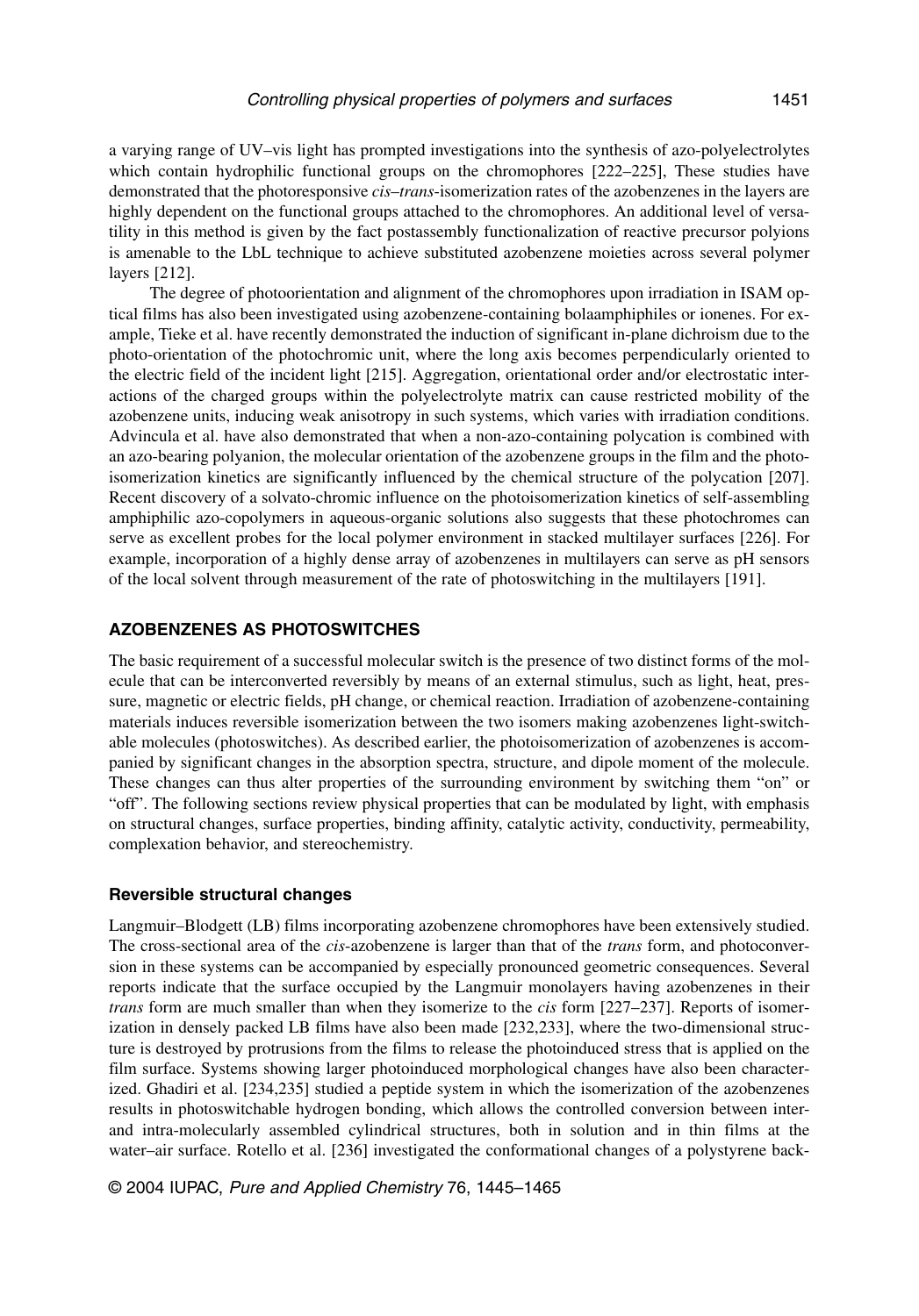a varying range of UV–vis light has prompted investigations into the synthesis of azo-polyelectrolytes which contain hydrophilic functional groups on the chromophores [222–225], These studies have demonstrated that the photoresponsive *cis*–*trans*-isomerization rates of the azobenzenes in the layers are highly dependent on the functional groups attached to the chromophores. An additional level of versatility in this method is given by the fact postassembly functionalization of reactive precursor polyions is amenable to the LbL technique to achieve substituted azobenzene moieties across several polymer layers [212].

The degree of photoorientation and alignment of the chromophores upon irradiation in ISAM optical films has also been investigated using azobenzene-containing bolaamphiphiles or ionenes. For example, Tieke et al. have recently demonstrated the induction of significant in-plane dichroism due to the photo-orientation of the photochromic unit, where the long axis becomes perpendicularly oriented to the electric field of the incident light [215]. Aggregation, orientational order and/or electrostatic interactions of the charged groups within the polyelectrolyte matrix can cause restricted mobility of the azobenzene units, inducing weak anisotropy in such systems, which varies with irradiation conditions. Advincula et al. have also demonstrated that when a non-azo-containing polycation is combined with an azo-bearing polyanion, the molecular orientation of the azobenzene groups in the film and the photoisomerization kinetics are significantly influenced by the chemical structure of the polycation [207]. Recent discovery of a solvato-chromic influence on the photoisomerization kinetics of self-assembling amphiphilic azo-copolymers in aqueous-organic solutions also suggests that these photochromes can serve as excellent probes for the local polymer environment in stacked multilayer surfaces [226]. For example, incorporation of a highly dense array of azobenzenes in multilayers can serve as pH sensors of the local solvent through measurement of the rate of photoswitching in the multilayers [191].

## **AZOBENZENES AS PHOTOSWITCHES**

The basic requirement of a successful molecular switch is the presence of two distinct forms of the molecule that can be interconverted reversibly by means of an external stimulus, such as light, heat, pressure, magnetic or electric fields, pH change, or chemical reaction. Irradiation of azobenzene-containing materials induces reversible isomerization between the two isomers making azobenzenes light-switchable molecules (photoswitches). As described earlier, the photoisomerization of azobenzenes is accompanied by significant changes in the absorption spectra, structure, and dipole moment of the molecule. These changes can thus alter properties of the surrounding environment by switching them "on" or "off". The following sections review physical properties that can be modulated by light, with emphasis on structural changes, surface properties, binding affinity, catalytic activity, conductivity, permeability, complexation behavior, and stereochemistry.

#### **Reversible structural changes**

Langmuir–Blodgett (LB) films incorporating azobenzene chromophores have been extensively studied. The cross-sectional area of the *cis*-azobenzene is larger than that of the *trans* form, and photoconversion in these systems can be accompanied by especially pronounced geometric consequences. Several reports indicate that the surface occupied by the Langmuir monolayers having azobenzenes in their *trans* form are much smaller than when they isomerize to the *cis* form [227–237]. Reports of isomerization in densely packed LB films have also been made [232,233], where the two-dimensional structure is destroyed by protrusions from the films to release the photoinduced stress that is applied on the film surface. Systems showing larger photoinduced morphological changes have also been characterized. Ghadiri et al. [234,235] studied a peptide system in which the isomerization of the azobenzenes results in photoswitchable hydrogen bonding, which allows the controlled conversion between interand intra-molecularly assembled cylindrical structures, both in solution and in thin films at the water–air surface. Rotello et al. [236] investigated the conformational changes of a polystyrene back-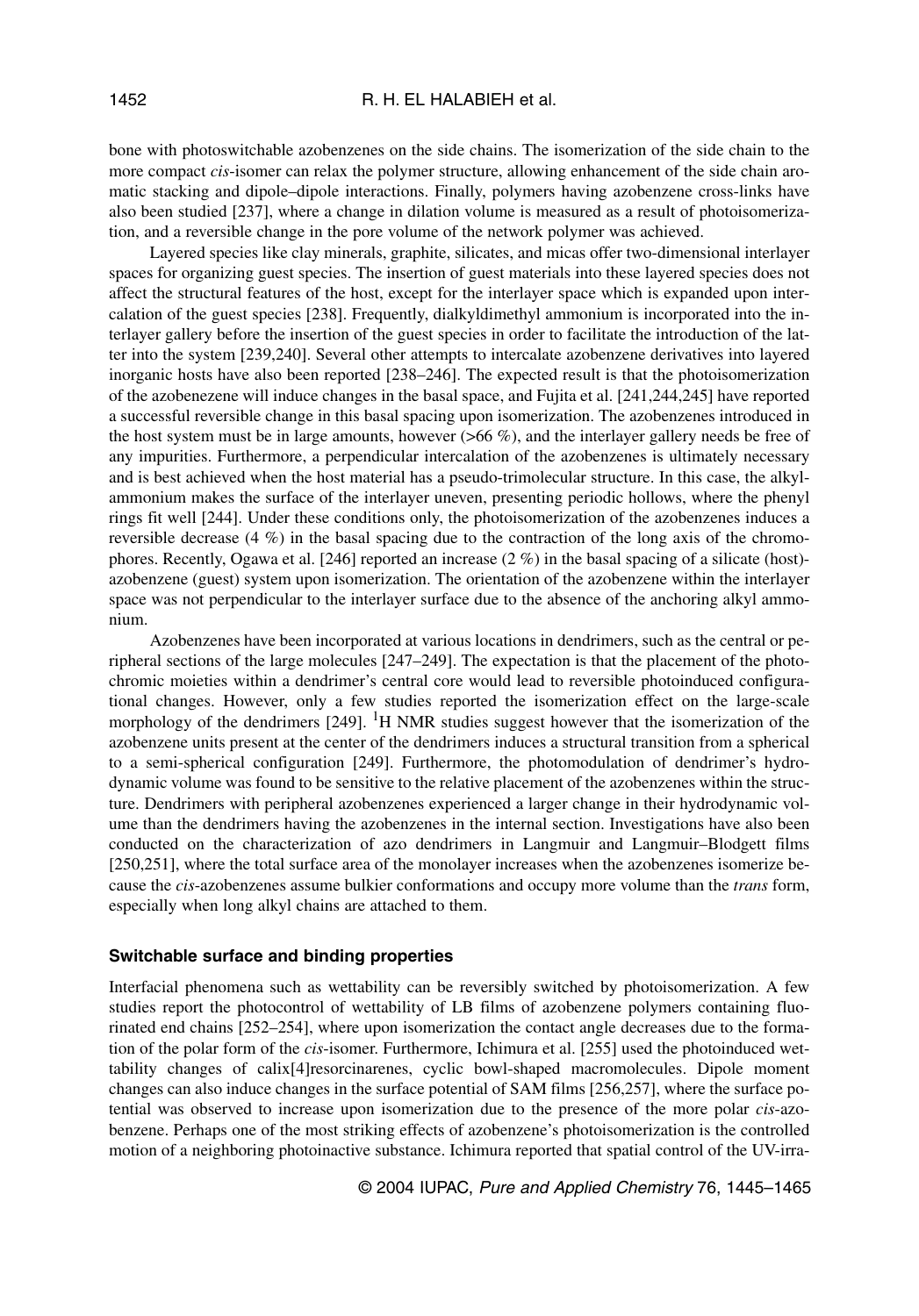bone with photoswitchable azobenzenes on the side chains. The isomerization of the side chain to the more compact *cis*-isomer can relax the polymer structure, allowing enhancement of the side chain aromatic stacking and dipole–dipole interactions. Finally, polymers having azobenzene cross-links have also been studied [237], where a change in dilation volume is measured as a result of photoisomerization, and a reversible change in the pore volume of the network polymer was achieved.

Layered species like clay minerals, graphite, silicates, and micas offer two-dimensional interlayer spaces for organizing guest species. The insertion of guest materials into these layered species does not affect the structural features of the host, except for the interlayer space which is expanded upon intercalation of the guest species [238]. Frequently, dialkyldimethyl ammonium is incorporated into the interlayer gallery before the insertion of the guest species in order to facilitate the introduction of the latter into the system [239,240]. Several other attempts to intercalate azobenzene derivatives into layered inorganic hosts have also been reported [238–246]. The expected result is that the photoisomerization of the azobenezene will induce changes in the basal space, and Fujita et al. [241,244,245] have reported a successful reversible change in this basal spacing upon isomerization. The azobenzenes introduced in the host system must be in large amounts, however  $(566\%)$ , and the interlayer gallery needs be free of any impurities. Furthermore, a perpendicular intercalation of the azobenzenes is ultimately necessary and is best achieved when the host material has a pseudo-trimolecular structure. In this case, the alkylammonium makes the surface of the interlayer uneven, presenting periodic hollows, where the phenyl rings fit well [244]. Under these conditions only, the photoisomerization of the azobenzenes induces a reversible decrease (4 %) in the basal spacing due to the contraction of the long axis of the chromophores. Recently, Ogawa et al. [246] reported an increase (2 %) in the basal spacing of a silicate (host) azobenzene (guest) system upon isomerization. The orientation of the azobenzene within the interlayer space was not perpendicular to the interlayer surface due to the absence of the anchoring alkyl ammonium.

Azobenzenes have been incorporated at various locations in dendrimers, such as the central or peripheral sections of the large molecules [247–249]. The expectation is that the placement of the photochromic moieties within a dendrimer's central core would lead to reversible photoinduced configurational changes. However, only a few studies reported the isomerization effect on the large-scale morphology of the dendrimers  $[249]$ . <sup>1</sup>H NMR studies suggest however that the isomerization of the azobenzene units present at the center of the dendrimers induces a structural transition from a spherical to a semi-spherical configuration [249]. Furthermore, the photomodulation of dendrimer's hydrodynamic volume was found to be sensitive to the relative placement of the azobenzenes within the structure. Dendrimers with peripheral azobenzenes experienced a larger change in their hydrodynamic volume than the dendrimers having the azobenzenes in the internal section. Investigations have also been conducted on the characterization of azo dendrimers in Langmuir and Langmuir–Blodgett films [250,251], where the total surface area of the monolayer increases when the azobenzenes isomerize because the *cis*-azobenzenes assume bulkier conformations and occupy more volume than the *trans* form, especially when long alkyl chains are attached to them.

#### **Switchable surface and binding properties**

Interfacial phenomena such as wettability can be reversibly switched by photoisomerization. A few studies report the photocontrol of wettability of LB films of azobenzene polymers containing fluorinated end chains [252–254], where upon isomerization the contact angle decreases due to the formation of the polar form of the *cis*-isomer. Furthermore, Ichimura et al. [255] used the photoinduced wettability changes of calix[4]resorcinarenes, cyclic bowl-shaped macromolecules. Dipole moment changes can also induce changes in the surface potential of SAM films [256,257], where the surface potential was observed to increase upon isomerization due to the presence of the more polar *cis*-azobenzene. Perhaps one of the most striking effects of azobenzene's photoisomerization is the controlled motion of a neighboring photoinactive substance. Ichimura reported that spatial control of the UV-irra-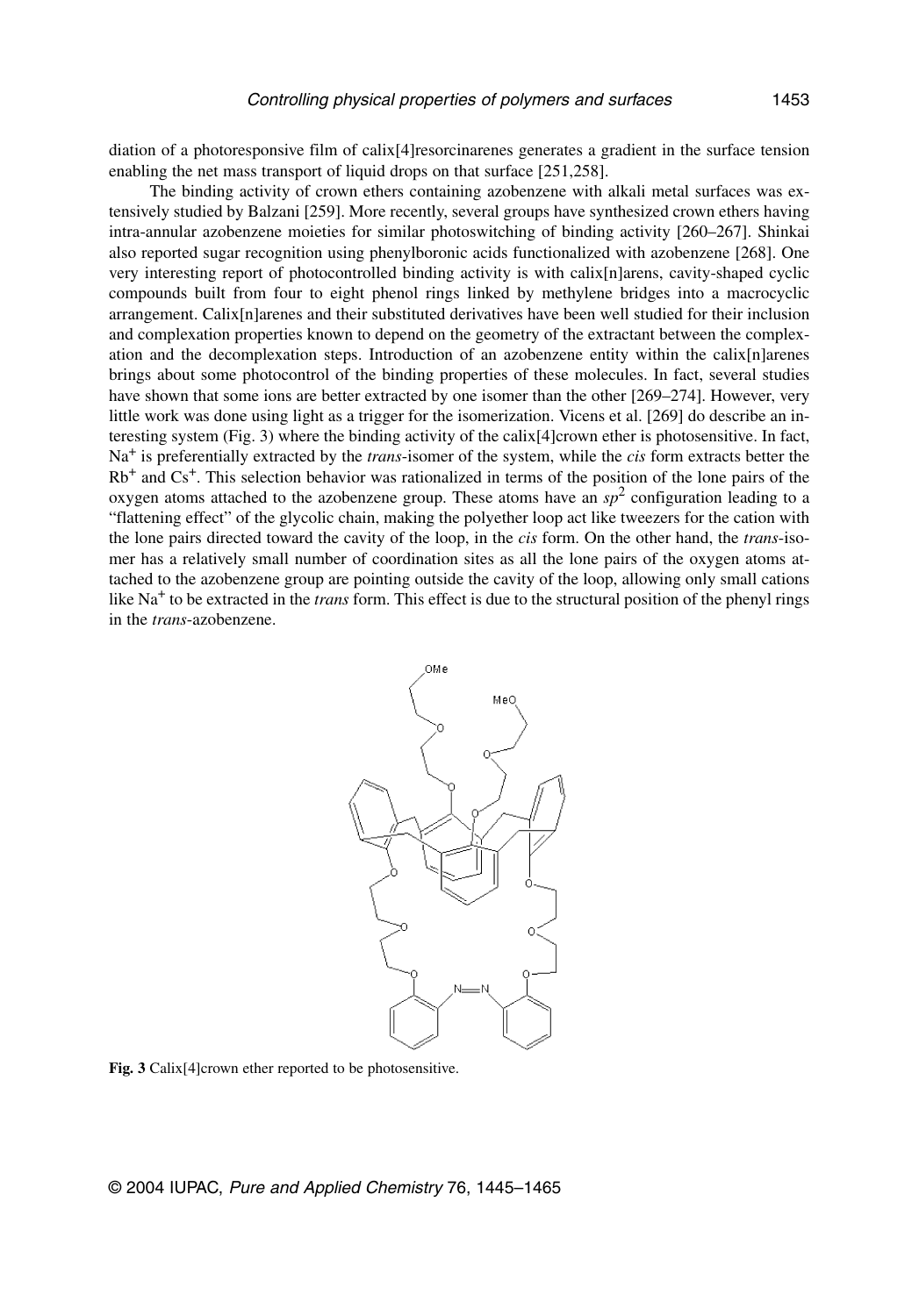diation of a photoresponsive film of calix[4]resorcinarenes generates a gradient in the surface tension enabling the net mass transport of liquid drops on that surface [251,258].

The binding activity of crown ethers containing azobenzene with alkali metal surfaces was extensively studied by Balzani [259]. More recently, several groups have synthesized crown ethers having intra-annular azobenzene moieties for similar photoswitching of binding activity [260–267]. Shinkai also reported sugar recognition using phenylboronic acids functionalized with azobenzene [268]. One very interesting report of photocontrolled binding activity is with calix[n]arens, cavity-shaped cyclic compounds built from four to eight phenol rings linked by methylene bridges into a macrocyclic arrangement. Calix[n]arenes and their substituted derivatives have been well studied for their inclusion and complexation properties known to depend on the geometry of the extractant between the complexation and the decomplexation steps. Introduction of an azobenzene entity within the calix[n]arenes brings about some photocontrol of the binding properties of these molecules. In fact, several studies have shown that some ions are better extracted by one isomer than the other [269–274]. However, very little work was done using light as a trigger for the isomerization. Vicens et al. [269] do describe an interesting system (Fig. 3) where the binding activity of the calix[4]crown ether is photosensitive. In fact, Na+ is preferentially extracted by the *trans*-isomer of the system, while the *cis* form extracts better the  $Rb<sup>+</sup>$  and  $Cs<sup>+</sup>$ . This selection behavior was rationalized in terms of the position of the lone pairs of the oxygen atoms attached to the azobenzene group. These atoms have an  $sp<sup>2</sup>$  configuration leading to a "flattening effect" of the glycolic chain, making the polyether loop act like tweezers for the cation with the lone pairs directed toward the cavity of the loop, in the *cis* form. On the other hand, the *trans*-isomer has a relatively small number of coordination sites as all the lone pairs of the oxygen atoms attached to the azobenzene group are pointing outside the cavity of the loop, allowing only small cations like Na<sup>+</sup> to be extracted in the *trans* form. This effect is due to the structural position of the phenyl rings in the *trans*-azobenzene.



**Fig. 3** Calix[4]crown ether reported to be photosensitive.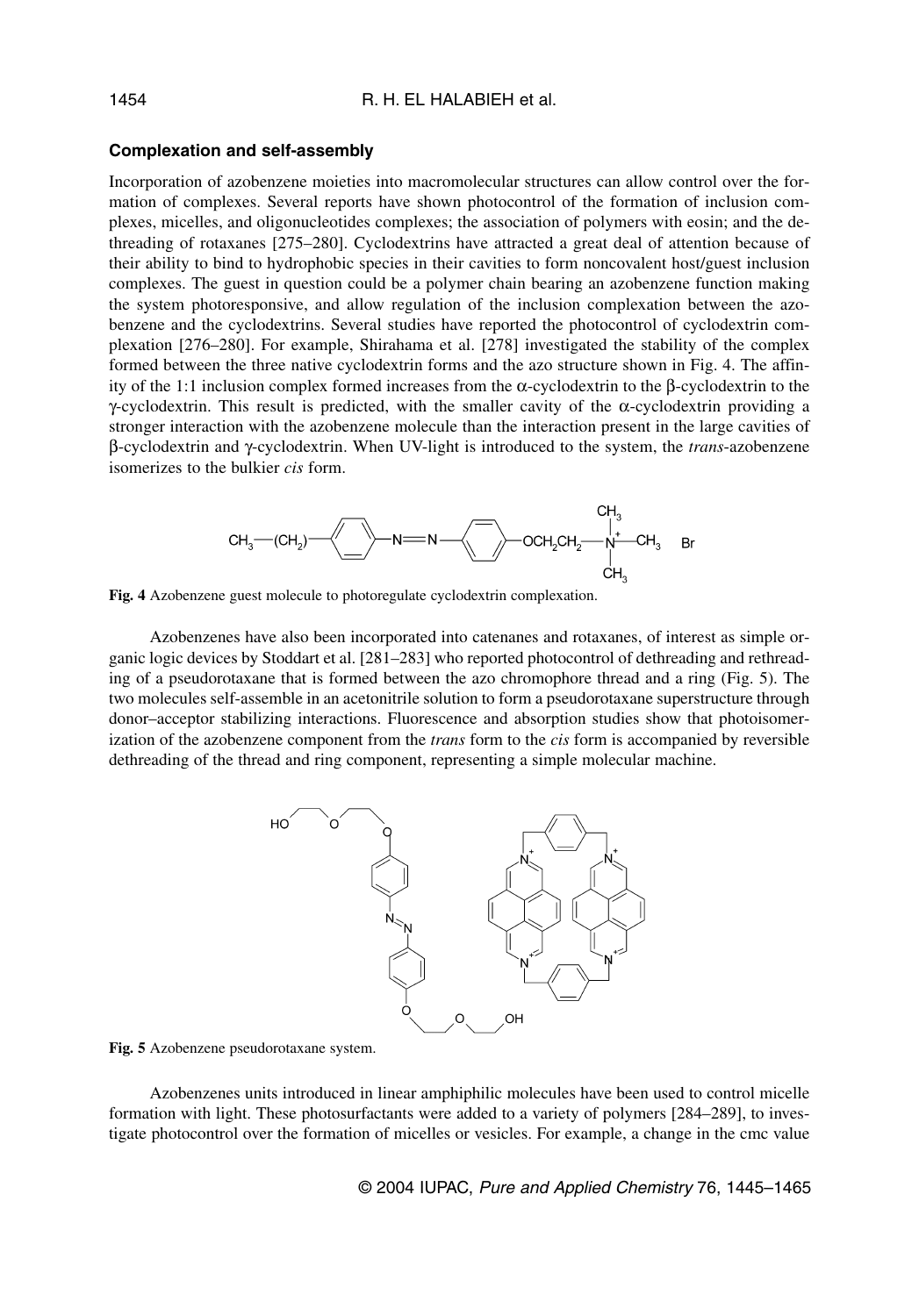## **Complexation and self-assembly**

Incorporation of azobenzene moieties into macromolecular structures can allow control over the formation of complexes. Several reports have shown photocontrol of the formation of inclusion complexes, micelles, and oligonucleotides complexes; the association of polymers with eosin; and the dethreading of rotaxanes [275–280]. Cyclodextrins have attracted a great deal of attention because of their ability to bind to hydrophobic species in their cavities to form noncovalent host/guest inclusion complexes. The guest in question could be a polymer chain bearing an azobenzene function making the system photoresponsive, and allow regulation of the inclusion complexation between the azobenzene and the cyclodextrins. Several studies have reported the photocontrol of cyclodextrin complexation [276–280]. For example, Shirahama et al. [278] investigated the stability of the complex formed between the three native cyclodextrin forms and the azo structure shown in Fig. 4. The affinity of the 1:1 inclusion complex formed increases from the α-cyclodextrin to the β-cyclodextrin to the γ-cyclodextrin. This result is predicted, with the smaller cavity of the  $\alpha$ -cyclodextrin providing a stronger interaction with the azobenzene molecule than the interaction present in the large cavities of β-cyclodextrin and γ-cyclodextrin. When UV-light is introduced to the system, the *trans*-azobenzene isomerizes to the bulkier *cis* form.



**Fig. 4** Azobenzene guest molecule to photoregulate cyclodextrin complexation.

Azobenzenes have also been incorporated into catenanes and rotaxanes, of interest as simple organic logic devices by Stoddart et al. [281–283] who reported photocontrol of dethreading and rethreading of a pseudorotaxane that is formed between the azo chromophore thread and a ring (Fig. 5). The two molecules self-assemble in an acetonitrile solution to form a pseudorotaxane superstructure through donor–acceptor stabilizing interactions. Fluorescence and absorption studies show that photoisomerization of the azobenzene component from the *trans* form to the *cis* form is accompanied by reversible dethreading of the thread and ring component, representing a simple molecular machine.



**Fig. 5** Azobenzene pseudorotaxane system.

Azobenzenes units introduced in linear amphiphilic molecules have been used to control micelle formation with light. These photosurfactants were added to a variety of polymers [284–289], to investigate photocontrol over the formation of micelles or vesicles. For example, a change in the cmc value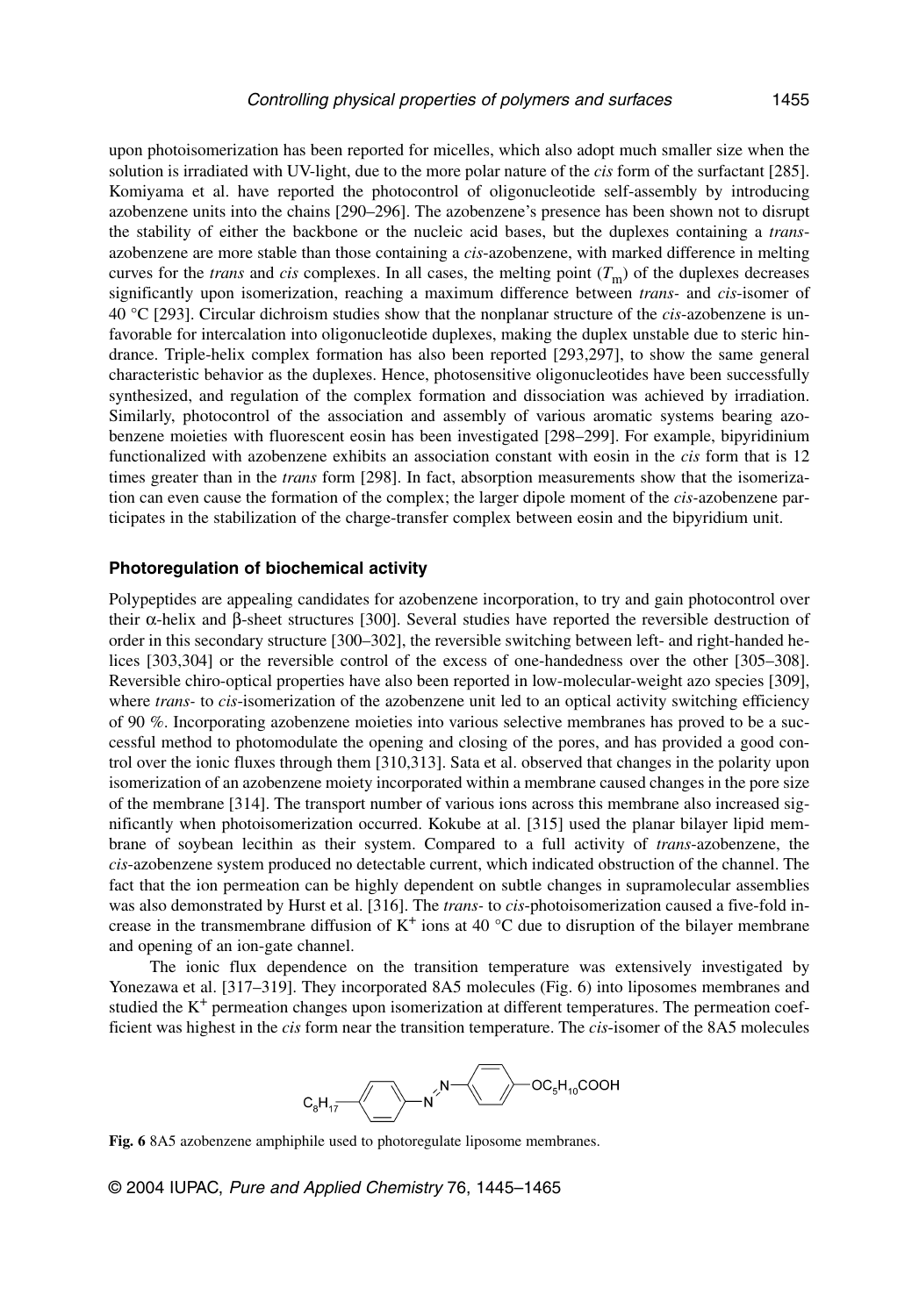upon photoisomerization has been reported for micelles, which also adopt much smaller size when the solution is irradiated with UV-light, due to the more polar nature of the *cis* form of the surfactant [285]. Komiyama et al. have reported the photocontrol of oligonucleotide self-assembly by introducing azobenzene units into the chains [290–296]. The azobenzene's presence has been shown not to disrupt the stability of either the backbone or the nucleic acid bases, but the duplexes containing a *trans*azobenzene are more stable than those containing a *cis*-azobenzene, with marked difference in melting curves for the *trans* and *cis* complexes. In all cases, the melting point  $(T<sub>m</sub>)$  of the duplexes decreases significantly upon isomerization, reaching a maximum difference between *trans-* and *cis*-isomer of 40 °C [293]. Circular dichroism studies show that the nonplanar structure of the *cis*-azobenzene is unfavorable for intercalation into oligonucleotide duplexes, making the duplex unstable due to steric hindrance. Triple-helix complex formation has also been reported [293,297], to show the same general characteristic behavior as the duplexes. Hence, photosensitive oligonucleotides have been successfully synthesized, and regulation of the complex formation and dissociation was achieved by irradiation. Similarly, photocontrol of the association and assembly of various aromatic systems bearing azobenzene moieties with fluorescent eosin has been investigated [298–299]. For example, bipyridinium functionalized with azobenzene exhibits an association constant with eosin in the *cis* form that is 12 times greater than in the *trans* form [298]. In fact, absorption measurements show that the isomerization can even cause the formation of the complex; the larger dipole moment of the *cis-*azobenzene participates in the stabilization of the charge-transfer complex between eosin and the bipyridium unit.

#### **Photoregulation of biochemical activity**

Polypeptides are appealing candidates for azobenzene incorporation, to try and gain photocontrol over their α-helix and β-sheet structures [300]. Several studies have reported the reversible destruction of order in this secondary structure [300–302], the reversible switching between left- and right-handed helices [303,304] or the reversible control of the excess of one-handedness over the other [305–308]. Reversible chiro-optical properties have also been reported in low-molecular-weight azo species [309], where *trans*- to *cis*-isomerization of the azobenzene unit led to an optical activity switching efficiency of 90 %. Incorporating azobenzene moieties into various selective membranes has proved to be a successful method to photomodulate the opening and closing of the pores, and has provided a good control over the ionic fluxes through them [310,313]. Sata et al. observed that changes in the polarity upon isomerization of an azobenzene moiety incorporated within a membrane caused changes in the pore size of the membrane [314]. The transport number of various ions across this membrane also increased significantly when photoisomerization occurred. Kokube at al. [315] used the planar bilayer lipid membrane of soybean lecithin as their system. Compared to a full activity of *trans*-azobenzene, the *cis*-azobenzene system produced no detectable current, which indicated obstruction of the channel. The fact that the ion permeation can be highly dependent on subtle changes in supramolecular assemblies was also demonstrated by Hurst et al. [316]. The *trans-* to *cis*-photoisomerization caused a five-fold increase in the transmembrane diffusion of  $K^+$  ions at 40 °C due to disruption of the bilayer membrane and opening of an ion-gate channel.

The ionic flux dependence on the transition temperature was extensively investigated by Yonezawa et al. [317–319]. They incorporated 8A5 molecules (Fig. 6) into liposomes membranes and studied the  $K^+$  permeation changes upon isomerization at different temperatures. The permeation coefficient was highest in the *cis* form near the transition temperature. The *cis*-isomer of the 8A5 molecules



**Fig. 6** 8A5 azobenzene amphiphile used to photoregulate liposome membranes.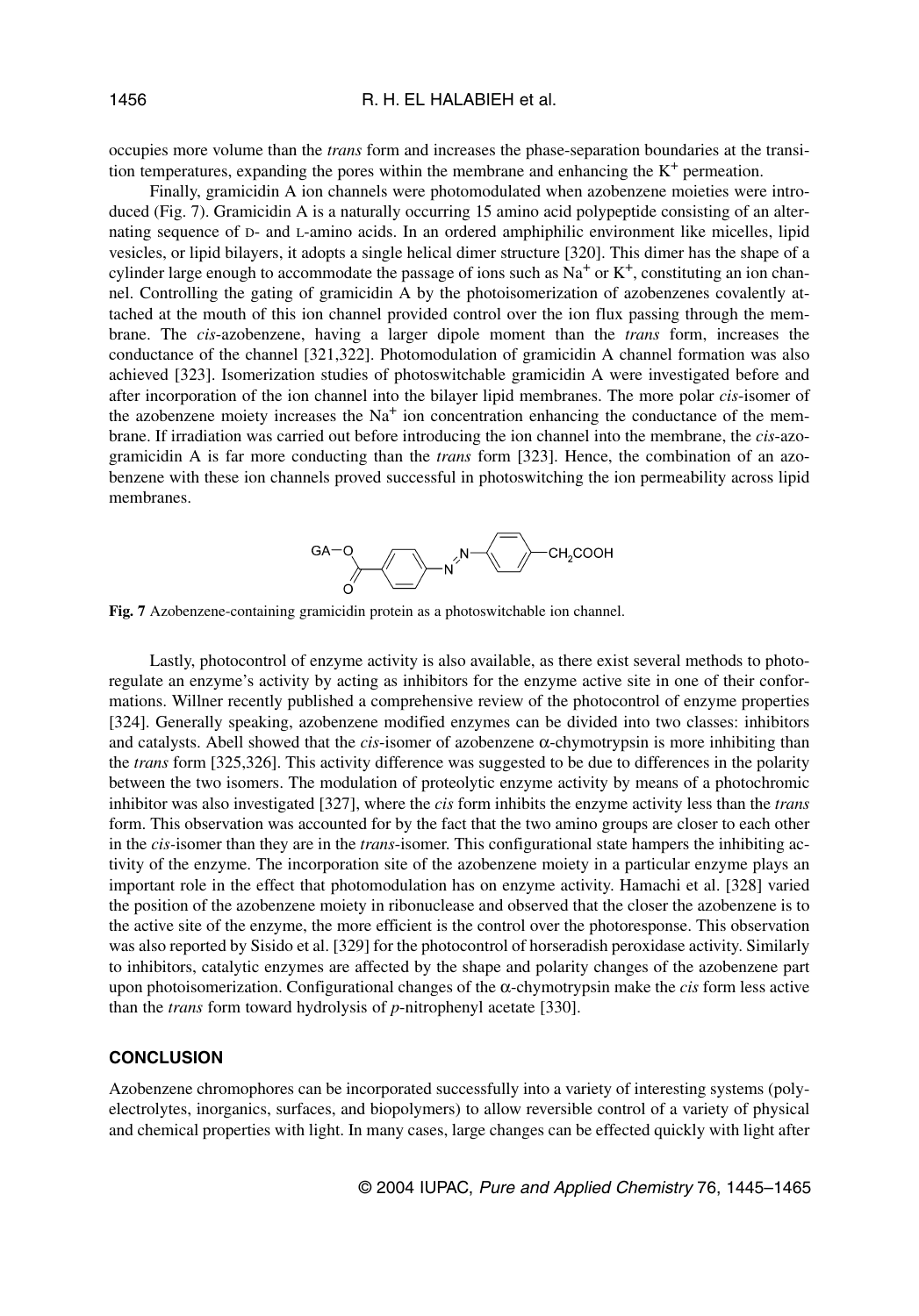occupies more volume than the *trans* form and increases the phase-separation boundaries at the transition temperatures, expanding the pores within the membrane and enhancing the  $K^+$  permeation.

Finally, gramicidin A ion channels were photomodulated when azobenzene moieties were introduced (Fig. 7). Gramicidin A is a naturally occurring 15 amino acid polypeptide consisting of an alternating sequence of D- and L-amino acids. In an ordered amphiphilic environment like micelles, lipid vesicles, or lipid bilayers, it adopts a single helical dimer structure [320]. This dimer has the shape of a cylinder large enough to accommodate the passage of ions such as  $Na<sup>+</sup>$  or  $K<sup>+</sup>$ , constituting an ion channel. Controlling the gating of gramicidin A by the photoisomerization of azobenzenes covalently attached at the mouth of this ion channel provided control over the ion flux passing through the membrane. The *cis*-azobenzene, having a larger dipole moment than the *trans* form, increases the conductance of the channel [321,322]. Photomodulation of gramicidin A channel formation was also achieved [323]. Isomerization studies of photoswitchable gramicidin A were investigated before and after incorporation of the ion channel into the bilayer lipid membranes. The more polar *cis*-isomer of the azobenzene moiety increases the  $Na<sup>+</sup>$  ion concentration enhancing the conductance of the membrane. If irradiation was carried out before introducing the ion channel into the membrane, the *cis*-azogramicidin A is far more conducting than the *trans* form [323]. Hence, the combination of an azobenzene with these ion channels proved successful in photoswitching the ion permeability across lipid membranes.



**Fig. 7** Azobenzene-containing gramicidin protein as a photoswitchable ion channel.

Lastly, photocontrol of enzyme activity is also available, as there exist several methods to photoregulate an enzyme's activity by acting as inhibitors for the enzyme active site in one of their conformations. Willner recently published a comprehensive review of the photocontrol of enzyme properties [324]. Generally speaking, azobenzene modified enzymes can be divided into two classes: inhibitors and catalysts. Abell showed that the *cis*-isomer of azobenzene α-chymotrypsin is more inhibiting than the *trans* form [325,326]. This activity difference was suggested to be due to differences in the polarity between the two isomers. The modulation of proteolytic enzyme activity by means of a photochromic inhibitor was also investigated [327], where the *cis* form inhibits the enzyme activity less than the *trans* form. This observation was accounted for by the fact that the two amino groups are closer to each other in the *cis-*isomer than they are in the *trans*-isomer. This configurational state hampers the inhibiting activity of the enzyme. The incorporation site of the azobenzene moiety in a particular enzyme plays an important role in the effect that photomodulation has on enzyme activity. Hamachi et al. [328] varied the position of the azobenzene moiety in ribonuclease and observed that the closer the azobenzene is to the active site of the enzyme, the more efficient is the control over the photoresponse. This observation was also reported by Sisido et al. [329] for the photocontrol of horseradish peroxidase activity. Similarly to inhibitors, catalytic enzymes are affected by the shape and polarity changes of the azobenzene part upon photoisomerization. Configurational changes of the α-chymotrypsin make the *cis* form less active than the *trans* form toward hydrolysis of *p*-nitrophenyl acetate [330].

## **CONCLUSION**

Azobenzene chromophores can be incorporated successfully into a variety of interesting systems (polyelectrolytes, inorganics, surfaces, and biopolymers) to allow reversible control of a variety of physical and chemical properties with light. In many cases, large changes can be effected quickly with light after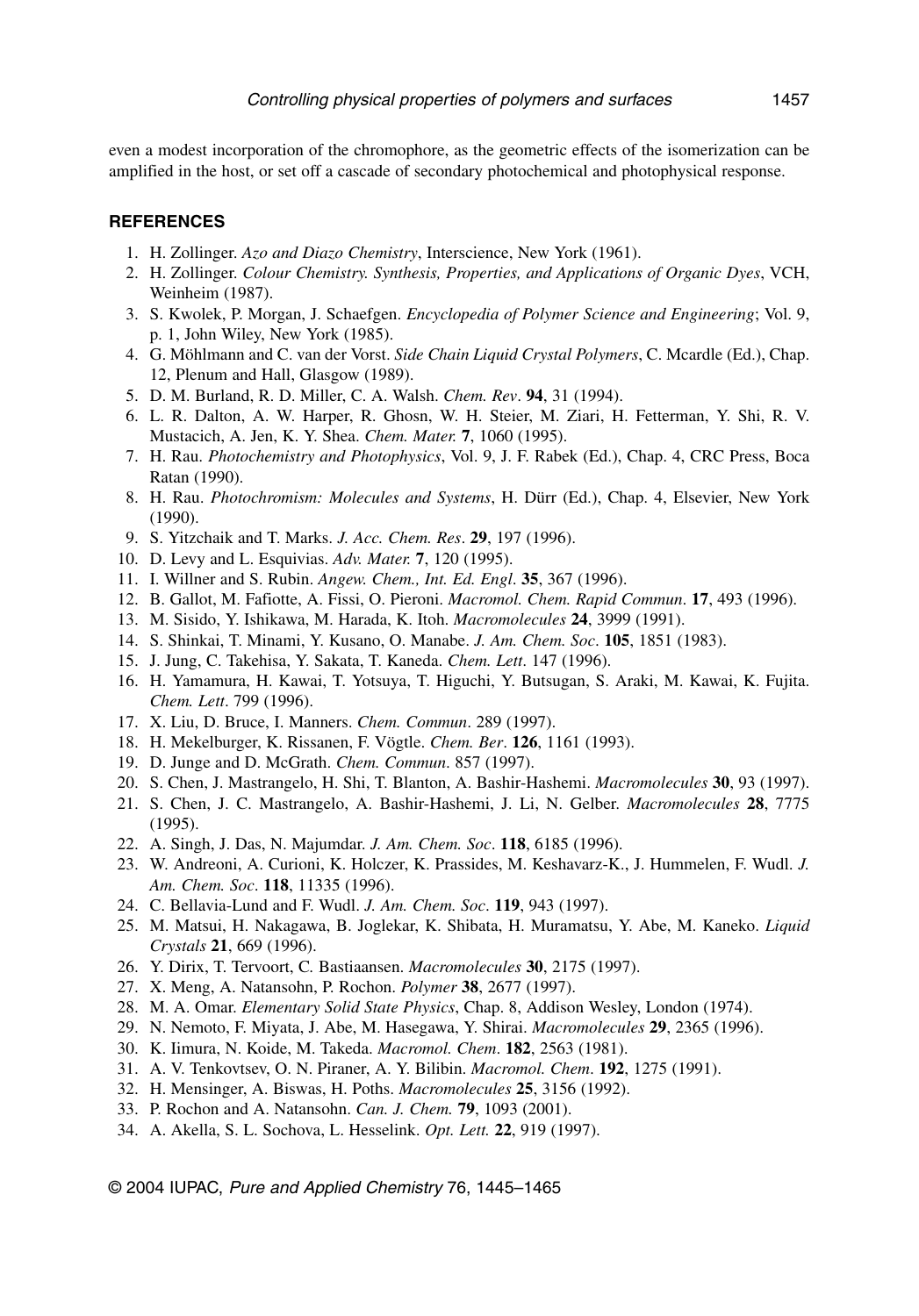even a modest incorporation of the chromophore, as the geometric effects of the isomerization can be amplified in the host, or set off a cascade of secondary photochemical and photophysical response.

# **REFERENCES**

- 1. H. Zollinger. *Azo and Diazo Chemistry*, Interscience, New York (1961).
- 2. H. Zollinger. *Colour Chemistry. Synthesis, Properties, and Applications of Organic Dyes*, VCH, Weinheim (1987).
- 3. S. Kwolek, P. Morgan, J. Schaefgen. *Encyclopedia of Polymer Science and Engineering*; Vol. 9, p. 1, John Wiley, New York (1985).
- 4. G. Möhlmann and C. van der Vorst. *Side Chain Liquid Crystal Polymers*, C. Mcardle (Ed.), Chap. 12, Plenum and Hall, Glasgow (1989).
- 5. D. M. Burland, R. D. Miller, C. A. Walsh. *Chem. Rev*. **94**, 31 (1994).
- 6. L. R. Dalton, A. W. Harper, R. Ghosn, W. H. Steier, M. Ziari, H. Fetterman, Y. Shi, R. V. Mustacich, A. Jen, K. Y. Shea. *Chem. Mater.* **7**, 1060 (1995).
- 7. H. Rau. *Photochemistry and Photophysics*, Vol. 9, J. F. Rabek (Ed.), Chap. 4, CRC Press, Boca Ratan (1990).
- 8. H. Rau. *Photochromism: Molecules and Systems*, H. Dürr (Ed.), Chap. 4, Elsevier, New York (1990).
- 9. S. Yitzchaik and T. Marks. *J. Acc. Chem. Res*. **29**, 197 (1996).
- 10. D. Levy and L. Esquivias. *Adv. Mater.* **7**, 120 (1995).
- 11. I. Willner and S. Rubin. *Angew. Chem., Int. Ed. Engl*. **35**, 367 (1996).
- 12. B. Gallot, M. Fafiotte, A. Fissi, O. Pieroni. *Macromol. Chem. Rapid Commun*. **17**, 493 (1996).
- 13. M. Sisido, Y. Ishikawa, M. Harada, K. Itoh. *Macromolecules* **24**, 3999 (1991).
- 14. S. Shinkai, T. Minami, Y. Kusano, O. Manabe. *J. Am. Chem. Soc*. **105**, 1851 (1983).
- 15. J. Jung, C. Takehisa, Y. Sakata, T. Kaneda. *Chem. Lett*. 147 (1996).
- 16. H. Yamamura, H. Kawai, T. Yotsuya, T. Higuchi, Y. Butsugan, S. Araki, M. Kawai, K. Fujita. *Chem. Lett*. 799 (1996).
- 17. X. Liu, D. Bruce, I. Manners. *Chem. Commun*. 289 (1997).
- 18. H. Mekelburger, K. Rissanen, F. Vögtle. *Chem. Ber*. **126**, 1161 (1993).
- 19. D. Junge and D. McGrath. *Chem. Commun*. 857 (1997).
- 20. S. Chen, J. Mastrangelo, H. Shi, T. Blanton, A. Bashir-Hashemi. *Macromolecules* **30**, 93 (1997).
- 21. S. Chen, J. C. Mastrangelo, A. Bashir-Hashemi, J. Li, N. Gelber. *Macromolecules* **28**, 7775 (1995).
- 22. A. Singh, J. Das, N. Majumdar. *J. Am. Chem. Soc*. **118**, 6185 (1996).
- 23. W. Andreoni, A. Curioni, K. Holczer, K. Prassides, M. Keshavarz-K., J. Hummelen, F. Wudl. *J. Am. Chem. Soc*. **118**, 11335 (1996).
- 24. C. Bellavia-Lund and F. Wudl. *J. Am. Chem. Soc*. **119**, 943 (1997).
- 25. M. Matsui, H. Nakagawa, B. Joglekar, K. Shibata, H. Muramatsu, Y. Abe, M. Kaneko. *Liquid Crystals* **21**, 669 (1996).
- 26. Y. Dirix, T. Tervoort, C*.* Bastiaansen. *Macromolecules* **30**, 2175 (1997).
- 27. X. Meng, A. Natansohn, P. Rochon. *Polymer* **38**, 2677 (1997).
- 28. M. A. Omar. *Elementary Solid State Physics*, Chap. 8, Addison Wesley, London (1974).
- 29. N. Nemoto, F. Miyata, J. Abe, M. Hasegawa, Y. Shirai. *Macromolecules* **29**, 2365 (1996).
- 30. K. Iimura, N. Koide, M. Takeda. *Macromol. Chem*. **182**, 2563 (1981).
- 31. A. V. Tenkovtsev, O. N. Piraner, A. Y. Bilibin. *Macromol. Chem*. **192**, 1275 (1991).
- 32. H. Mensinger, A. Biswas, H. Poths. *Macromolecules* **25**, 3156 (1992).
- 33. P. Rochon and A. Natansohn. *Can. J. Chem.* **79**, 1093 (2001).
- 34. A. Akella, S. L. Sochova, L. Hesselink. *Opt. Lett.* **22**, 919 (1997).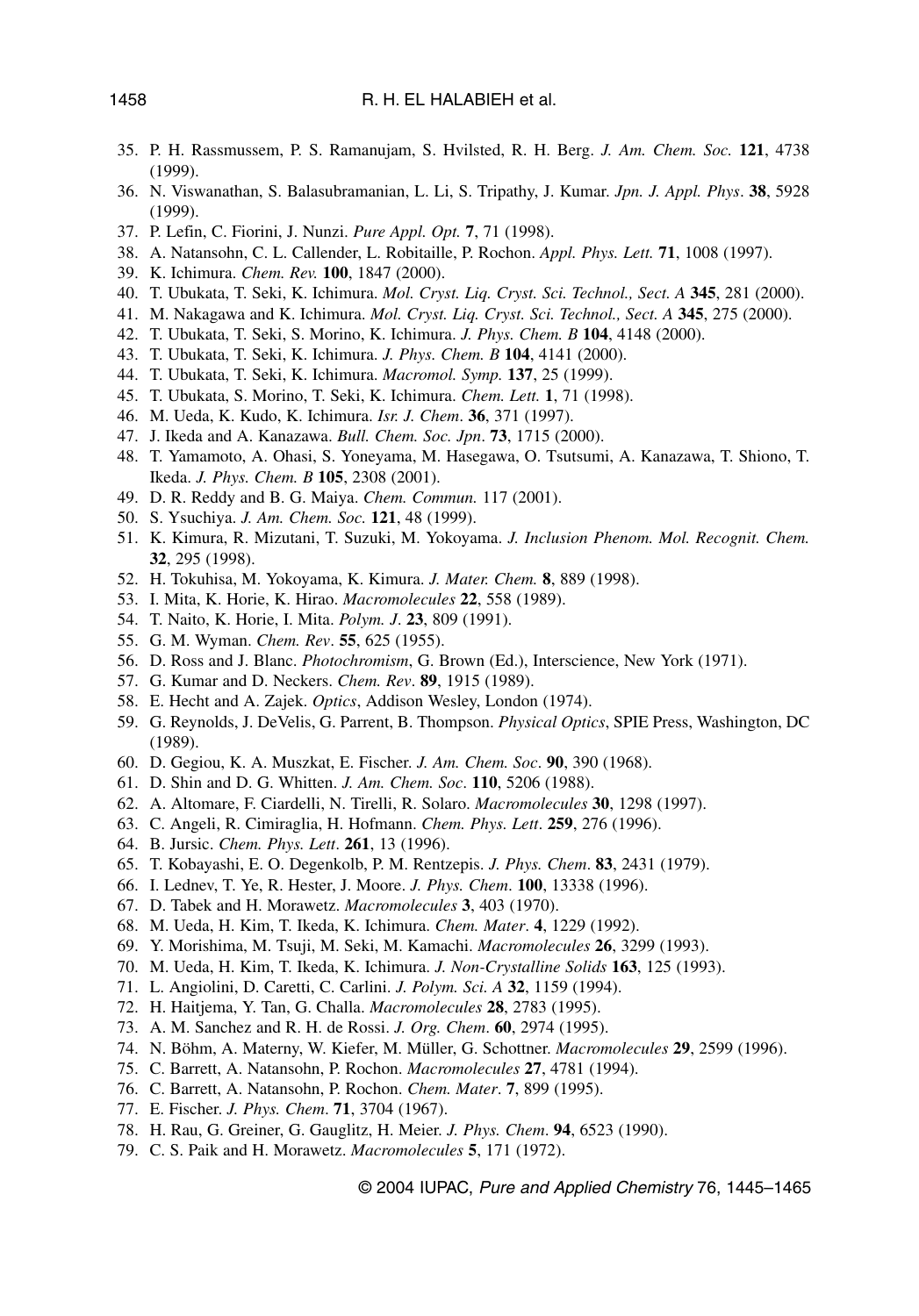- 35. P. H. Rassmussem, P. S. Ramanujam, S. Hvilsted, R. H. Berg. *J. Am. Chem. Soc.* **121**, 4738 (1999).
- 36. N. Viswanathan, S. Balasubramanian, L. Li, S. Tripathy, J. Kumar. *Jpn. J. Appl. Phys*. **38**, 5928 (1999).
- 37. P. Lefin, C. Fiorini, J. Nunzi. *Pure Appl. Opt.* **7**, 71 (1998).
- 38. A. Natansohn, C. L. Callender, L. Robitaille, P. Rochon. *Appl. Phys. Lett.* **71**, 1008 (1997).
- 39. K. Ichimura. *Chem. Rev.* **100**, 1847 (2000).
- 40. T. Ubukata, T. Seki, K. Ichimura. *Mol. Cryst. Liq. Cryst. Sci. Technol., Sect. A* **345**, 281 (2000).
- 41. M. Nakagawa and K. Ichimura. *Mol. Cryst. Liq. Cryst. Sci. Technol., Sect. A* **345**, 275 (2000).
- 42. T. Ubukata, T. Seki, S. Morino, K. Ichimura. *J. Phys. Chem. B* **104**, 4148 (2000).
- 43. T. Ubukata, T. Seki, K. Ichimura. *J. Phys. Chem. B* **104**, 4141 (2000).
- 44. T. Ubukata, T. Seki, K. Ichimura. *Macromol. Symp.* **137**, 25 (1999).
- 45. T. Ubukata, S. Morino, T. Seki, K. Ichimura. *Chem. Lett.* **1**, 71 (1998).
- 46. M. Ueda, K. Kudo, K. Ichimura. *Isr. J. Chem*. **36**, 371 (1997).
- 47. J. Ikeda and A. Kanazawa. *Bull. Chem. Soc. Jpn*. **73**, 1715 (2000).
- 48. T. Yamamoto, A. Ohasi, S. Yoneyama, M. Hasegawa, O. Tsutsumi, A. Kanazawa, T. Shiono, T. Ikeda. *J. Phys. Chem. B* **105**, 2308 (2001).
- 49. D. R. Reddy and B. G. Maiya. *Chem. Commun.* 117 (2001).
- 50. S. Ysuchiya. *J. Am. Chem. Soc.* **121**, 48 (1999).
- 51. K. Kimura, R. Mizutani, T. Suzuki, M. Yokoyama. *J. Inclusion Phenom. Mol. Recognit. Chem.* **32**, 295 (1998).
- 52. H. Tokuhisa, M. Yokoyama, K. Kimura. *J. Mater. Chem.* **8**, 889 (1998).
- 53. I. Mita, K. Horie, K. Hirao. *Macromolecules* **22**, 558 (1989).
- 54. T. Naito, K. Horie, I. Mita. *Polym. J*. **23**, 809 (1991).
- 55. G. M. Wyman. *Chem. Rev*. **55**, 625 (1955).
- 56. D. Ross and J. Blanc. *Photochromism*, G. Brown (Ed.), Interscience, New York (1971).
- 57. G. Kumar and D. Neckers. *Chem. Rev*. **89**, 1915 (1989).
- 58. E. Hecht and A. Zajek. *Optics*, Addison Wesley, London (1974).
- 59. G. Reynolds, J. DeVelis, G. Parrent, B. Thompson. *Physical Optics*, SPIE Press, Washington, DC (1989).
- 60. D. Gegiou, K. A. Muszkat, E. Fischer. *J. Am. Chem. Soc*. **90**, 390 (1968).
- 61. D. Shin and D. G. Whitten. *J. Am. Chem. Soc*. **110**, 5206 (1988).
- 62. A. Altomare, F. Ciardelli, N. Tirelli, R. Solaro. *Macromolecules* **30**, 1298 (1997).
- 63. C. Angeli, R. Cimiraglia, H. Hofmann. *Chem. Phys. Lett*. **259**, 276 (1996).
- 64. B. Jursic. *Chem. Phys. Lett*. **261**, 13 (1996).
- 65. T. Kobayashi, E. O. Degenkolb, P. M. Rentzepis. *J. Phys. Chem*. **83**, 2431 (1979).
- 66. I. Lednev, T. Ye, R. Hester, J. Moore. *J. Phys. Chem*. **100**, 13338 (1996).
- 67. D. Tabek and H. Morawetz. *Macromolecules* **3**, 403 (1970).
- 68. M. Ueda, H. Kim, T. Ikeda, K. Ichimura. *Chem. Mater*. **4**, 1229 (1992).
- 69. Y. Morishima, M. Tsuji, M. Seki, M. Kamachi. *Macromolecules* **26**, 3299 (1993).
- 70. M. Ueda, H. Kim, T. Ikeda, K. Ichimura. *J. Non-Crystalline Solids* **163**, 125 (1993).
- 71. L. Angiolini, D. Caretti, C. Carlini. *J. Polym. Sci. A* **32**, 1159 (1994).
- 72. H. Haitjema, Y. Tan, G. Challa. *Macromolecules* **28**, 2783 (1995).
- 73. A. M. Sanchez and R. H. de Rossi. *J. Org. Chem*. **60**, 2974 (1995).
- 74. N. Böhm, A. Materny, W. Kiefer, M. Müller, G. Schottner. *Macromolecules* **29**, 2599 (1996).
- 75. C. Barrett, A. Natansohn, P. Rochon. *Macromolecules* **27**, 4781 (1994).
- 76. C. Barrett, A. Natansohn, P. Rochon. *Chem. Mater*. **7**, 899 (1995).
- 77. E. Fischer. *J. Phys. Chem*. **71**, 3704 (1967).
- 78. H. Rau, G. Greiner, G. Gauglitz, H. Meier. *J. Phys. Chem*. **94**, 6523 (1990).
- 79. C. S. Paik and H. Morawetz. *Macromolecules* **5**, 171 (1972).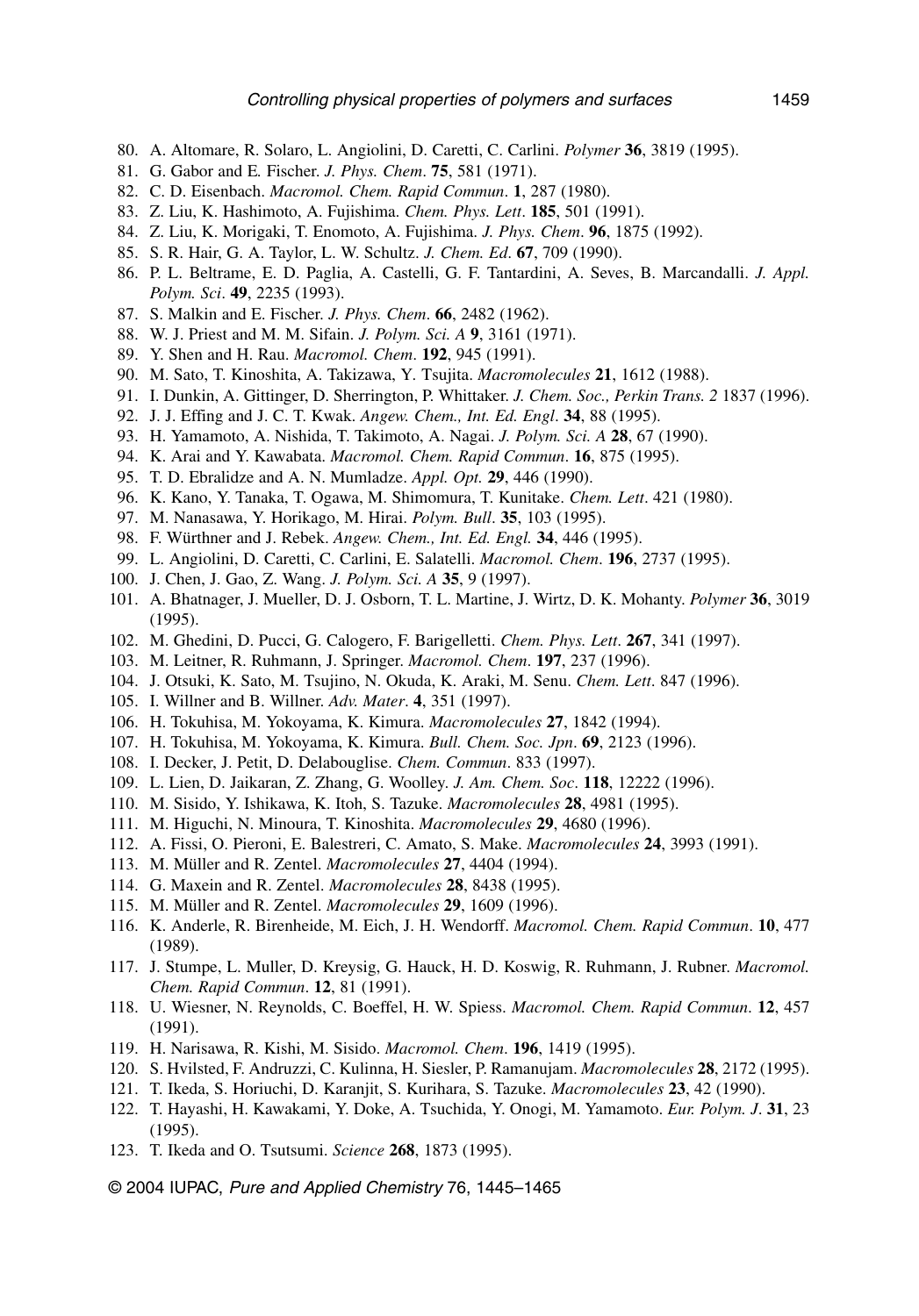- 80. A. Altomare, R. Solaro, L. Angiolini, D. Caretti, C. Carlini. *Polymer* **36**, 3819 (1995).
- 81. G. Gabor and E*.* Fischer. *J. Phys. Chem*. **75**, 581 (1971).
- 82. C. D. Eisenbach. *Macromol. Chem. Rapid Commun*. **1**, 287 (1980).
- 83. Z. Liu, K. Hashimoto, A. Fujishima. *Chem. Phys. Lett*. **185**, 501 (1991).
- 84. Z. Liu, K. Morigaki, T. Enomoto, A. Fujishima. *J. Phys. Chem*. **96**, 1875 (1992).
- 85. S. R. Hair, G. A. Taylor, L. W. Schultz. *J. Chem. Ed*. **67**, 709 (1990).
- 86. P. L. Beltrame, E. D. Paglia, A. Castelli, G. F. Tantardini, A. Seves, B. Marcandalli. *J. Appl. Polym. Sci*. **49**, 2235 (1993).
- 87. S. Malkin and E. Fischer. *J. Phys. Chem*. **66**, 2482 (1962).
- 88. W. J. Priest and M. M. Sifain. *J. Polym. Sci. A* **9**, 3161 (1971).
- 89. Y. Shen and H. Rau. *Macromol. Chem*. **192**, 945 (1991).
- 90. M. Sato, T. Kinoshita, A. Takizawa, Y*.* Tsujita. *Macromolecules* **21**, 1612 (1988).
- 91. I. Dunkin, A. Gittinger, D. Sherrington, P. Whittaker. *J. Chem. Soc., Perkin Trans. 2* 1837 (1996).
- 92. J. J. Effing and J. C. T. Kwak. *Angew. Chem., Int. Ed. Engl*. **34**, 88 (1995).
- 93. H. Yamamoto, A. Nishida, T. Takimoto, A. Nagai. *J. Polym. Sci. A* **28**, 67 (1990).
- 94. K. Arai and Y. Kawabata. *Macromol. Chem. Rapid Commun*. **16**, 875 (1995).
- 95. T. D. Ebralidze and A. N. Mumladze. *Appl. Opt.* **29**, 446 (1990).
- 96. K. Kano, Y. Tanaka, T. Ogawa, M. Shimomura, T. Kunitake. *Chem. Lett*. 421 (1980).
- 97. M. Nanasawa, Y. Horikago, M. Hirai. *Polym. Bull*. **35**, 103 (1995).
- 98. F. Würthner and J. Rebek. *Angew. Chem., Int. Ed. Engl.* **34**, 446 (1995).
- 99. L. Angiolini, D. Caretti, C. Carlini, E. Salatelli. *Macromol. Chem*. **196**, 2737 (1995).
- 100. J. Chen, J. Gao, Z. Wang. *J. Polym. Sci. A* **35**, 9 (1997).
- 101. A. Bhatnager, J. Mueller, D. J. Osborn, T. L. Martine, J. Wirtz, D. K. Mohanty. *Polymer* **36**, 3019 (1995).
- 102. M. Ghedini, D. Pucci, G. Calogero, F. Barigelletti. *Chem. Phys. Lett*. **267**, 341 (1997).
- 103. M. Leitner, R. Ruhmann, J. Springer. *Macromol. Chem*. **197**, 237 (1996).
- 104. J. Otsuki, K. Sato, M. Tsujino, N. Okuda, K. Araki, M. Senu. *Chem. Lett*. 847 (1996).
- 105. I. Willner and B. Willner. *Adv. Mater*. **4**, 351 (1997).
- 106. H. Tokuhisa, M. Yokoyama, K. Kimura. *Macromolecules* **27**, 1842 (1994).
- 107. H. Tokuhisa, M. Yokoyama, K. Kimura. *Bull. Chem. Soc. Jpn*. **69**, 2123 (1996).
- 108. I. Decker, J. Petit, D. Delabouglise. *Chem. Commun*. 833 (1997).
- 109. L. Lien, D. Jaikaran, Z. Zhang, G. Woolley. *J. Am. Chem. Soc*. **118**, 12222 (1996).
- 110. M. Sisido, Y. Ishikawa, K. Itoh, S. Tazuke. *Macromolecules* **28**, 4981 (1995).
- 111. M. Higuchi, N. Minoura, T. Kinoshita. *Macromolecules* **29**, 4680 (1996).
- 112. A. Fissi, O. Pieroni, E. Balestreri, C. Amato, S. Make. *Macromolecules* **24**, 3993 (1991).
- 113. M. Müller and R. Zentel. *Macromolecules* **27**, 4404 (1994).
- 114. G. Maxein and R. Zentel. *Macromolecules* **28**, 8438 (1995).
- 115. M. Müller and R. Zentel. *Macromolecules* **29**, 1609 (1996).
- 116. K. Anderle, R. Birenheide, M. Eich, J. H. Wendorff. *Macromol. Chem. Rapid Commun*. **10**, 477 (1989).
- 117. J. Stumpe, L. Muller, D. Kreysig, G. Hauck, H. D. Koswig, R. Ruhmann, J. Rubner. *Macromol. Chem. Rapid Commun*. **12**, 81 (1991).
- 118. U. Wiesner, N. Reynolds, C. Boeffel, H. W. Spiess. *Macromol. Chem. Rapid Commun*. **12**, 457 (1991).
- 119. H. Narisawa, R. Kishi, M. Sisido. *Macromol. Chem*. **196**, 1419 (1995).
- 120. S. Hvilsted, F. Andruzzi, C. Kulinna, H. Siesler, P. Ramanujam. *Macromolecules* **28**, 2172 (1995).
- 121. T. Ikeda, S. Horiuchi, D. Karanjit, S. Kurihara, S. Tazuke. *Macromolecules* **23**, 42 (1990).
- 122. T. Hayashi, H. Kawakami, Y. Doke, A. Tsuchida, Y. Onogi, M. Yamamoto. *Eur. Polym. J*. **31**, 23 (1995).
- 123. T. Ikeda and O. Tsutsumi. *Science* **268**, 1873 (1995).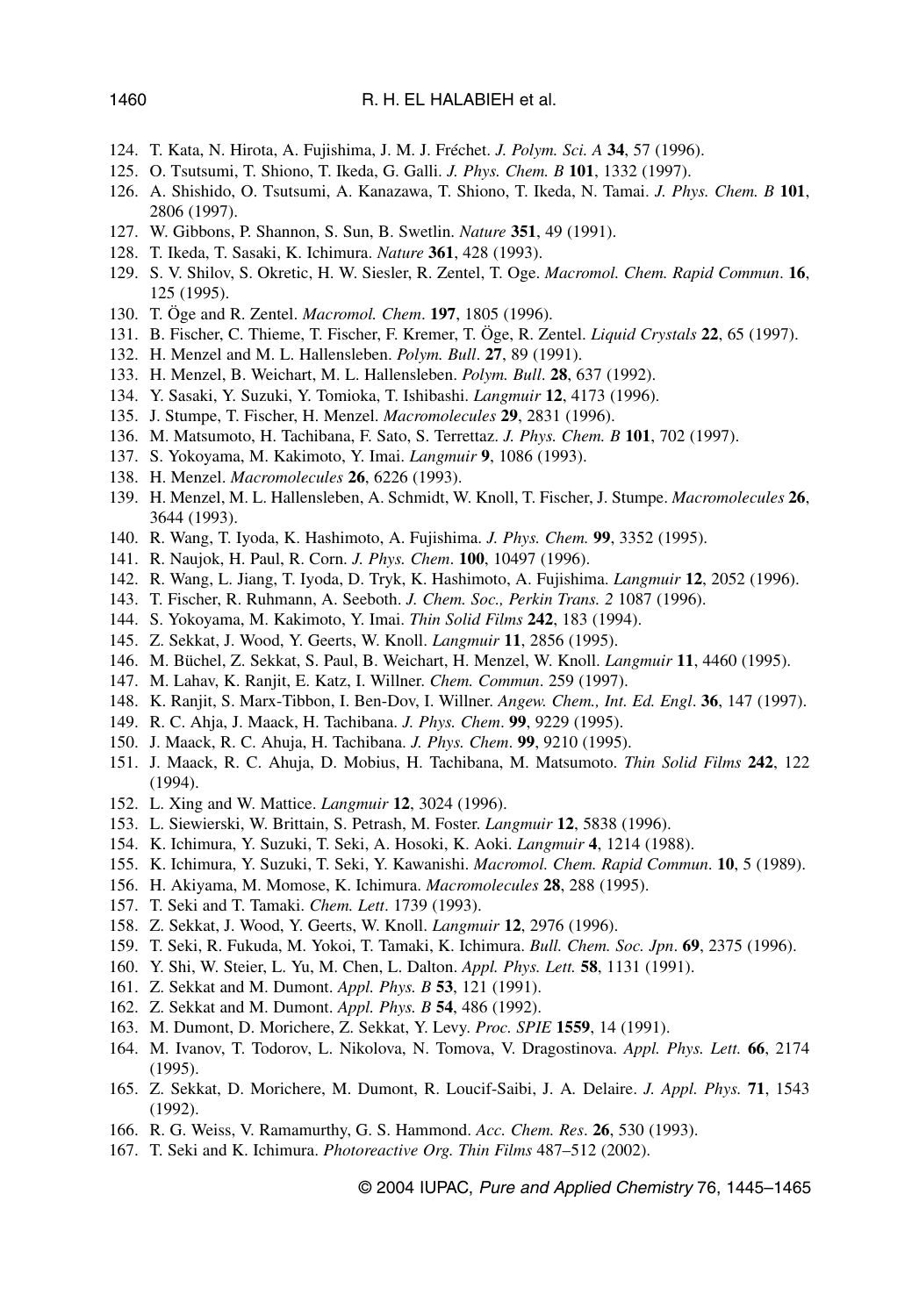- 124. T. Kata, N. Hirota, A. Fujishima, J. M. J. Fréchet. *J. Polym. Sci. A* **34**, 57 (1996).
- 125. O. Tsutsumi, T. Shiono, T. Ikeda, G. Galli. *J. Phys. Chem. B* **101**, 1332 (1997).
- 126. A. Shishido, O. Tsutsumi, A. Kanazawa, T. Shiono, T. Ikeda, N. Tamai. *J. Phys. Chem. B* **101**, 2806 (1997).
- 127. W. Gibbons, P. Shannon, S. Sun, B. Swetlin. *Nature* **351**, 49 (1991).
- 128. T. Ikeda, T. Sasaki, K. Ichimura. *Nature* **361**, 428 (1993).
- 129. S. V. Shilov, S. Okretic, H. W. Siesler, R. Zentel, T. Oge. *Macromol. Chem. Rapid Commun*. **16**, 125 (1995).
- 130. T. Öge and R. Zentel. *Macromol. Chem*. **197**, 1805 (1996).
- 131. B. Fischer, C. Thieme, T. Fischer, F. Kremer, T. Öge, R. Zentel. *Liquid Crystals* **22**, 65 (1997).
- 132. H. Menzel and M. L. Hallensleben. *Polym. Bull*. **27**, 89 (1991).
- 133. H. Menzel, B. Weichart, M. L. Hallensleben. *Polym. Bull*. **28**, 637 (1992).
- 134. Y. Sasaki, Y. Suzuki, Y. Tomioka, T. Ishibashi. *Langmuir* **12**, 4173 (1996).
- 135. J. Stumpe, T. Fischer, H. Menzel. *Macromolecules* **29**, 2831 (1996).
- 136. M. Matsumoto, H. Tachibana, F. Sato, S. Terrettaz. *J. Phys. Chem. B* **101**, 702 (1997).
- 137. S. Yokoyama, M. Kakimoto, Y. Imai. *Langmuir* **9**, 1086 (1993).
- 138. H. Menzel. *Macromolecules* **26**, 6226 (1993).
- 139. H. Menzel, M. L. Hallensleben, A. Schmidt, W. Knoll, T. Fischer, J. Stumpe. *Macromolecules* **26**, 3644 (1993).
- 140. R. Wang, T. Iyoda, K. Hashimoto, A. Fujishima. *J. Phys. Chem.* **99**, 3352 (1995).
- 141. R. Naujok, H. Paul, R. Corn. *J. Phys. Chem*. **100**, 10497 (1996).
- 142. R. Wang, L. Jiang, T. Iyoda, D. Tryk, K. Hashimoto, A. Fujishima. *Langmuir* **12**, 2052 (1996).
- 143. T. Fischer, R. Ruhmann, A. Seeboth. *J. Chem. Soc., Perkin Trans. 2* 1087 (1996).
- 144. S. Yokoyama, M. Kakimoto, Y. Imai. *Thin Solid Films* **242**, 183 (1994).
- 145. Z. Sekkat, J. Wood, Y. Geerts, W. Knoll. *Langmuir* **11**, 2856 (1995).
- 146. M. Büchel, Z. Sekkat, S. Paul, B. Weichart, H. Menzel, W. Knoll. *Langmuir* **11**, 4460 (1995).
- 147. M. Lahav, K. Ranjit, E. Katz, I. Willner. *Chem. Commun*. 259 (1997).
- 148. K. Ranjit, S. Marx-Tibbon, I. Ben-Dov, I. Willner. *Angew. Chem., Int. Ed. Engl*. **36**, 147 (1997).
- 149. R. C. Ahja, J. Maack, H. Tachibana. *J. Phys. Chem*. **99**, 9229 (1995).
- 150. J. Maack, R. C. Ahuja, H. Tachibana. *J. Phys. Chem*. **99**, 9210 (1995).
- 151. J. Maack, R. C. Ahuja, D. Mobius, H. Tachibana, M. Matsumoto. *Thin Solid Films* **242**, 122 (1994).
- 152. L. Xing and W. Mattice. *Langmuir* **12**, 3024 (1996).
- 153. L. Siewierski, W. Brittain, S. Petrash, M. Foster. *Langmuir* **12**, 5838 (1996).
- 154. K. Ichimura, Y. Suzuki, T. Seki, A. Hosoki, K. Aoki. *Langmuir* **4**, 1214 (1988).
- 155. K. Ichimura, Y. Suzuki, T. Seki, Y. Kawanishi. *Macromol. Chem. Rapid Commun*. **10**, 5 (1989).
- 156. H. Akiyama, M. Momose, K. Ichimura. *Macromolecules* **28**, 288 (1995).
- 157. T. Seki and T. Tamaki. *Chem. Lett*. 1739 (1993).
- 158. Z. Sekkat, J. Wood, Y. Geerts, W. Knoll. *Langmuir* **12**, 2976 (1996).
- 159. T. Seki, R. Fukuda, M. Yokoi, T. Tamaki, K. Ichimura. *Bull. Chem. Soc. Jpn*. **69**, 2375 (1996).
- 160. Y. Shi, W. Steier, L. Yu, M. Chen, L. Dalton. *Appl. Phys. Lett.* **58**, 1131 (1991).
- 161. Z. Sekkat and M. Dumont. *Appl. Phys. B* **53**, 121 (1991).
- 162. Z. Sekkat and M. Dumont. *Appl. Phys. B* **54**, 486 (1992).
- 163. M. Dumont, D. Morichere, Z. Sekkat, Y. Levy. *Proc. SPIE* **1559**, 14 (1991).
- 164. M. Ivanov, T. Todorov, L. Nikolova, N. Tomova, V. Dragostinova. *Appl. Phys. Lett.* **66**, 2174 (1995).
- 165. Z. Sekkat, D. Morichere, M. Dumont, R. Loucif-Saibi, J. A*.* Delaire. *J. Appl. Phys.* **71**, 1543 (1992).
- 166. R. G. Weiss, V. Ramamurthy, G. S. Hammond. *Acc. Chem. Res*. **26**, 530 (1993).
- 167. T. Seki and K. Ichimura. *Photoreactive Org. Thin Films* 487–512 (2002).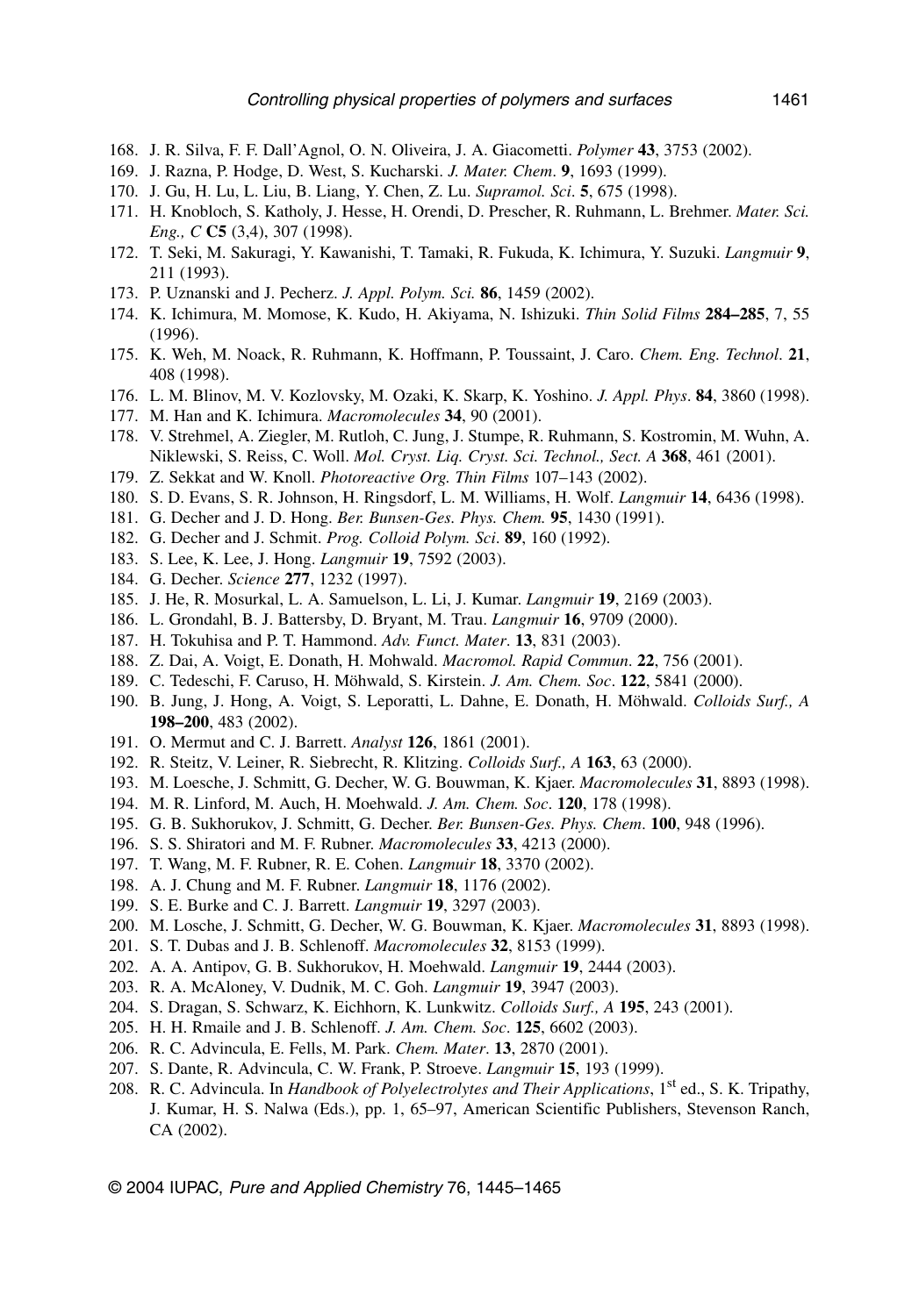- 168. J. R. Silva, F. F. Dall'Agnol, O. N. Oliveira, J. A. Giacometti. *Polymer* **43**, 3753 (2002).
- 169. J. Razna, P. Hodge, D. West, S. Kucharski. *J. Mater. Chem*. **9**, 1693 (1999).
- 170. J. Gu, H. Lu, L. Liu, B. Liang, Y. Chen, Z. Lu. *Supramol. Sci*. **5**, 675 (1998).
- 171. H. Knobloch, S. Katholy, J. Hesse, H. Orendi, D. Prescher, R. Ruhmann, L. Brehmer. *Mater. Sci. Eng., C* **C5** (3,4), 307 (1998).
- 172. T. Seki, M. Sakuragi, Y. Kawanishi, T. Tamaki, R. Fukuda, K. Ichimura, Y. Suzuki. *Langmuir* **9**, 211 (1993).
- 173. P. Uznanski and J. Pecherz. *J. Appl. Polym. Sci.* **86**, 1459 (2002).
- 174. K. Ichimura, M. Momose, K. Kudo, H. Akiyama, N. Ishizuki. *Thin Solid Films* **284–285**, 7, 55 (1996).
- 175. K. Weh, M. Noack, R. Ruhmann, K. Hoffmann, P. Toussaint, J. Caro. *Chem. Eng. Technol*. **21**, 408 (1998).
- 176. L. M. Blinov, M. V. Kozlovsky, M. Ozaki, K. Skarp, K. Yoshino. *J. Appl. Phys*. **84**, 3860 (1998).
- 177. M. Han and K. Ichimura. *Macromolecules* **34**, 90 (2001).
- 178. V. Strehmel, A. Ziegler, M. Rutloh, C. Jung, J. Stumpe, R. Ruhmann, S. Kostromin, M. Wuhn, A. Niklewski, S. Reiss, C. Woll. *Mol. Cryst. Liq. Cryst. Sci. Technol., Sect. A* **368**, 461 (2001).
- 179. Z. Sekkat and W. Knoll. *Photoreactive Org. Thin Films* 107–143 (2002).
- 180. S. D. Evans, S. R. Johnson, H. Ringsdorf, L. M. Williams, H. Wolf. *Langmuir* **14**, 6436 (1998).
- 181. G. Decher and J. D. Hong. *Ber. Bunsen-Ges. Phys. Chem.* **95**, 1430 (1991).
- 182. G. Decher and J. Schmit. *Prog. Colloid Polym. Sci*. **89**, 160 (1992).
- 183. S. Lee, K. Lee, J. Hong. *Langmuir* **19**, 7592 (2003).
- 184. G. Decher. *Science* **277**, 1232 (1997).
- 185. J. He, R. Mosurkal, L. A. Samuelson, L. Li, J. Kumar. *Langmuir* **19**, 2169 (2003).
- 186. L. Grondahl, B. J. Battersby, D. Bryant, M. Trau. *Langmuir* **16**, 9709 (2000).
- 187. H. Tokuhisa and P. T. Hammond. *Adv. Funct. Mater*. **13**, 831 (2003).
- 188. Z. Dai, A. Voigt, E. Donath, H. Mohwald. *Macromol. Rapid Commun*. **22**, 756 (2001).
- 189. C. Tedeschi, F. Caruso, H. Möhwald, S. Kirstein. *J. Am. Chem. Soc*. **122**, 5841 (2000).
- 190. B. Jung, J. Hong, A. Voigt, S. Leporatti, L. Dahne, E. Donath, H. Möhwald. *Colloids Surf., A* **198–200**, 483 (2002).
- 191. O. Mermut and C. J. Barrett. *Analyst* **126**, 1861 (2001).
- 192. R. Steitz, V. Leiner, R. Siebrecht, R. Klitzing. *Colloids Surf., A* **163**, 63 (2000).
- 193. M. Loesche, J. Schmitt, G. Decher, W. G. Bouwman, K. Kjaer. *Macromolecules* **31**, 8893 (1998).
- 194. M. R. Linford, M. Auch, H. Moehwald. *J. Am. Chem. Soc*. **120**, 178 (1998).
- 195. G. B. Sukhorukov, J. Schmitt, G. Decher. *Ber. Bunsen-Ges. Phys. Chem*. **100**, 948 (1996).
- 196. S. S. Shiratori and M. F. Rubner. *Macromolecules* **33**, 4213 (2000).
- 197. T. Wang, M. F. Rubner, R. E. Cohen. *Langmuir* **18**, 3370 (2002).
- 198. A. J. Chung and M. F. Rubner. *Langmuir* **18**, 1176 (2002).
- 199. S. E. Burke and C. J. Barrett. *Langmuir* **19**, 3297 (2003).
- 200. M. Losche, J. Schmitt, G. Decher, W. G. Bouwman, K. Kjaer. *Macromolecules* **31**, 8893 (1998).
- 201. S. T. Dubas and J. B. Schlenoff. *Macromolecules* **32**, 8153 (1999).
- 202. A. A. Antipov, G. B. Sukhorukov, H. Moehwald. *Langmuir* **19**, 2444 (2003).
- 203. R. A. McAloney, V. Dudnik, M. C. Goh. *Langmuir* **19**, 3947 (2003).
- 204. S. Dragan, S. Schwarz, K. Eichhorn, K. Lunkwitz. *Colloids Surf., A* **195**, 243 (2001).
- 205. H. H. Rmaile and J. B. Schlenoff. *J. Am. Chem. Soc*. **125**, 6602 (2003).
- 206. R. C. Advincula, E. Fells, M. Park. *Chem. Mater*. **13**, 2870 (2001).
- 207. S. Dante, R. Advincula, C. W. Frank, P. Stroeve. *Langmuir* **15**, 193 (1999).
- 208. R. C. Advincula. In *Handbook of Polyelectrolytes and Their Applications*, 1st ed., S. K. Tripathy, J. Kumar, H. S. Nalwa (Eds.), pp. 1, 65–97, American Scientific Publishers, Stevenson Ranch, CA (2002).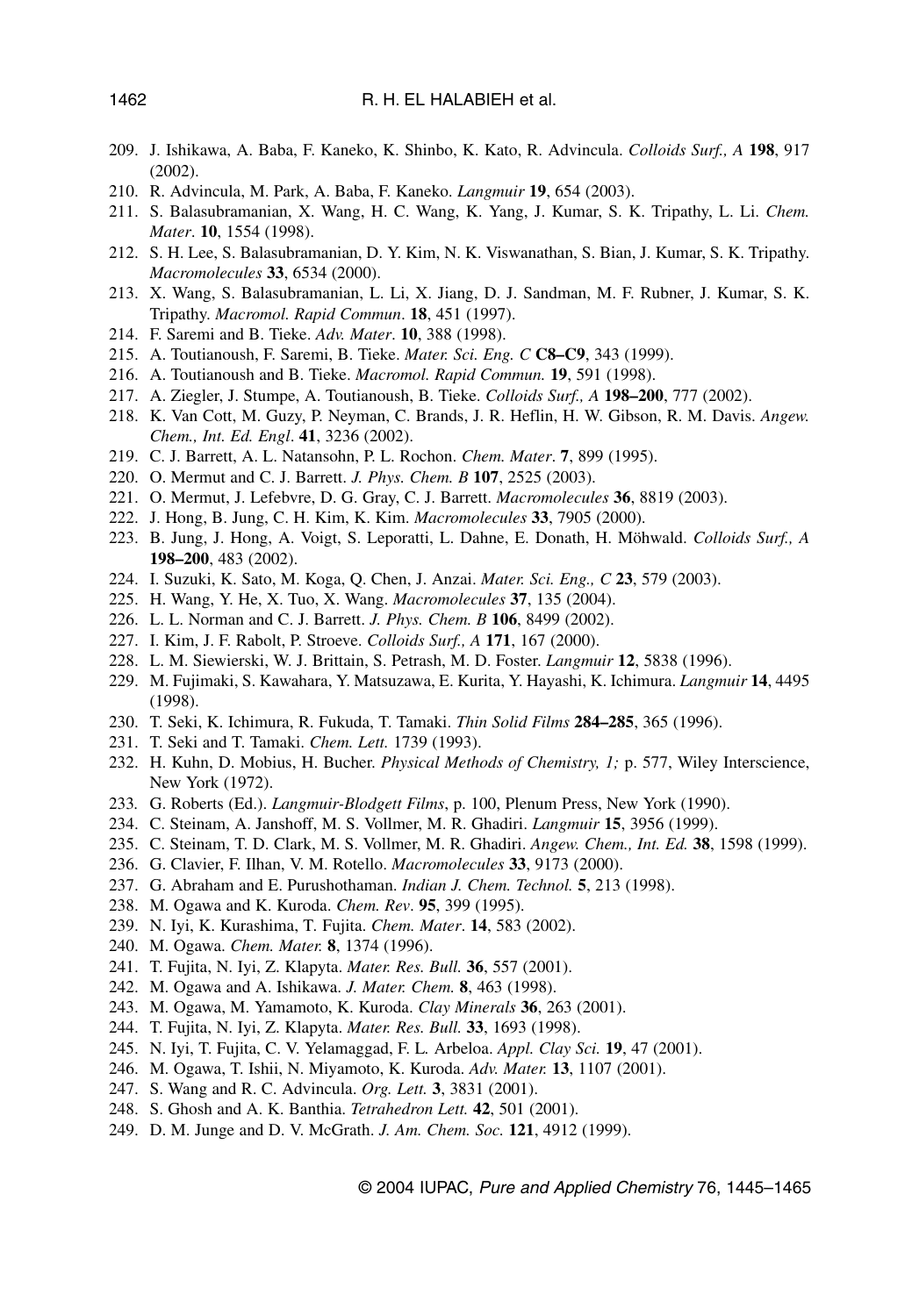- 209. J. Ishikawa, A. Baba, F. Kaneko, K. Shinbo, K. Kato, R. Advincula. *Colloids Surf., A* **198**, 917 (2002).
- 210. R. Advincula, M. Park, A. Baba, F. Kaneko. *Langmuir* **19**, 654 (2003).
- 211. S. Balasubramanian, X. Wang, H. C. Wang, K. Yang, J. Kumar, S. K. Tripathy, L. Li. *Chem. Mater*. **10**, 1554 (1998).
- 212. S. H. Lee, S. Balasubramanian, D. Y. Kim, N. K. Viswanathan, S. Bian, J. Kumar, S. K. Tripathy. *Macromolecules* **33**, 6534 (2000).
- 213. X. Wang, S. Balasubramanian, L. Li, X. Jiang, D. J. Sandman, M. F. Rubner, J. Kumar, S. K. Tripathy. *Macromol. Rapid Commun*. **18**, 451 (1997).
- 214. F. Saremi and B. Tieke. *Adv. Mater*. **10**, 388 (1998).
- 215. A. Toutianoush, F. Saremi, B. Tieke. *Mater. Sci. Eng. C* **C8–C9**, 343 (1999).
- 216. A. Toutianoush and B. Tieke. *Macromol. Rapid Commun.* **19**, 591 (1998).
- 217. A. Ziegler, J. Stumpe, A. Toutianoush, B. Tieke. *Colloids Surf., A* **198–200**, 777 (2002).
- 218. K. Van Cott, M. Guzy, P. Neyman, C. Brands, J. R. Heflin, H. W. Gibson, R. M. Davis. *Angew. Chem., Int. Ed. Engl*. **41**, 3236 (2002).
- 219. C. J. Barrett, A. L. Natansohn, P. L. Rochon. *Chem. Mater*. **7**, 899 (1995).
- 220. O. Mermut and C. J. Barrett. *J. Phys. Chem. B* **107**, 2525 (2003).
- 221. O. Mermut, J. Lefebvre, D. G. Gray, C. J. Barrett. *Macromolecules* **36**, 8819 (2003).
- 222. J. Hong, B. Jung, C. H. Kim, K. Kim. *Macromolecules* **33**, 7905 (2000).
- 223. B. Jung, J. Hong, A. Voigt, S. Leporatti, L. Dahne, E. Donath, H. Möhwald. *Colloids Surf., A* **198–200**, 483 (2002).
- 224. I. Suzuki, K. Sato, M. Koga, Q. Chen, J. Anzai. *Mater. Sci. Eng., C* **23**, 579 (2003).
- 225. H. Wang, Y. He, X. Tuo, X. Wang. *Macromolecules* **37**, 135 (2004).
- 226. L. L. Norman and C. J. Barrett. *J. Phys. Chem. B* **106**, 8499 (2002).
- 227. I. Kim, J. F. Rabolt, P. Stroeve. *Colloids Surf., A* **171**, 167 (2000).
- 228. L. M. Siewierski, W. J. Brittain, S. Petrash, M. D. Foster. *Langmuir* **12**, 5838 (1996).
- 229. M. Fujimaki, S. Kawahara, Y. Matsuzawa, E. Kurita, Y. Hayashi, K. Ichimura. *Langmuir* **14**, 4495 (1998).
- 230. T. Seki, K. Ichimura, R. Fukuda, T. Tamaki. *Thin Solid Films* **284–285**, 365 (1996).
- 231. T. Seki and T. Tamaki. *Chem. Lett.* 1739 (1993).
- 232. H. Kuhn, D. Mobius, H. Bucher. *Physical Methods of Chemistry, 1;* p. 577, Wiley Interscience, New York (1972).
- 233*.* G. Roberts (Ed.). *Langmuir-Blodgett Films*, p. 100, Plenum Press, New York (1990).
- 234. C. Steinam, A. Janshoff, M. S. Vollmer, M. R. Ghadiri. *Langmuir* **15**, 3956 (1999).
- 235. C. Steinam, T. D. Clark, M. S. Vollmer, M. R. Ghadiri. *Angew. Chem., Int. Ed.* **38**, 1598 (1999).
- 236. G. Clavier, F. Ilhan, V. M. Rotello. *Macromolecules* **33**, 9173 (2000).
- 237. G. Abraham and E. Purushothaman. *Indian J. Chem. Technol.* **5**, 213 (1998).
- 238. M. Ogawa and K. Kuroda. *Chem. Rev*. **95**, 399 (1995).
- 239. N. Iyi, K. Kurashima, T*.* Fujita. *Chem. Mater*. **14**, 583 (2002).
- 240. M. Ogawa. *Chem. Mater.* **8**, 1374 (1996).
- 241. T. Fujita, N. Iyi, Z. Klapyta. *Mater. Res. Bull.* **36**, 557 (2001).
- 242. M. Ogawa and A. Ishikawa. *J. Mater. Chem.* **8**, 463 (1998).
- 243. M. Ogawa, M. Yamamoto, K. Kuroda. *Clay Minerals* **36**, 263 (2001).
- 244. T. Fujita, N. Iyi, Z. Klapyta. *Mater. Res. Bull.* **33**, 1693 (1998).
- 245. N. Iyi, T. Fujita, C. V. Yelamaggad, F. L*.* Arbeloa. *Appl. Clay Sci.* **19**, 47 (2001).
- 246. M. Ogawa, T. Ishii, N. Miyamoto, K. Kuroda. *Adv. Mater.* **13**, 1107 (2001).
- 247. S. Wang and R. C. Advincula. *Org. Lett.* **3**, 3831 (2001).
- 248. S. Ghosh and A. K. Banthia. *Tetrahedron Lett.* **42**, 501 (2001).
- 249. D. M. Junge and D. V. McGrath. *J. Am. Chem. Soc.* **121**, 4912 (1999).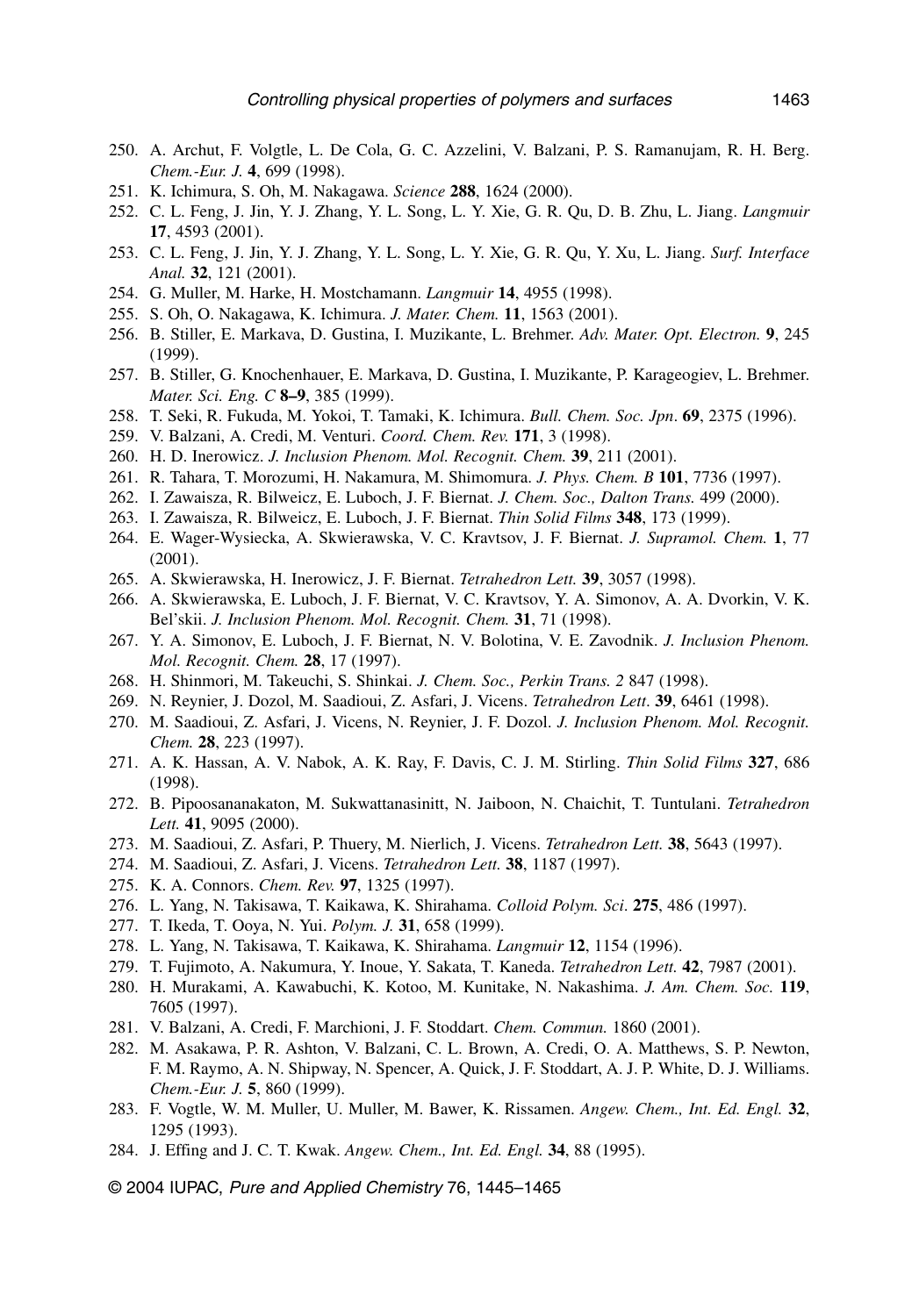- 250. A. Archut, F. Volgtle, L. De Cola, G. C. Azzelini, V. Balzani, P. S. Ramanujam, R. H. Berg. *Chem.-Eur. J.* **4**, 699 (1998).
- 251. K. Ichimura, S. Oh, M. Nakagawa. *Science* **288**, 1624 (2000).
- 252. C. L. Feng, J. Jin, Y. J. Zhang, Y. L. Song, L. Y. Xie, G. R. Qu, D. B. Zhu, L. Jiang. *Langmuir* **17**, 4593 (2001).
- 253. C. L. Feng, J. Jin, Y. J. Zhang, Y. L. Song, L. Y. Xie, G. R. Qu, Y. Xu, L. Jiang. *Surf. Interface Anal.* **32**, 121 (2001).
- 254. G. Muller, M. Harke, H. Mostchamann. *Langmuir* **14**, 4955 (1998).
- 255. S. Oh, O. Nakagawa, K. Ichimura. *J. Mater. Chem.* **11**, 1563 (2001).
- 256. B. Stiller, E. Markava, D. Gustina, I. Muzikante, L. Brehmer. *Adv. Mater. Opt. Electron.* **9**, 245 (1999).
- 257. B. Stiller, G. Knochenhauer, E. Markava, D. Gustina, I. Muzikante, P. Karageogiev, L. Brehmer. *Mater. Sci. Eng. C* **8–9**, 385 (1999).
- 258. T. Seki, R. Fukuda, M. Yokoi, T. Tamaki, K. Ichimura. *Bull. Chem. Soc. Jpn*. **69**, 2375 (1996).
- 259. V. Balzani, A. Credi, M. Venturi. *Coord. Chem. Rev.* **171**, 3 (1998).
- 260. H. D. Inerowicz. *J. Inclusion Phenom. Mol. Recognit. Chem.* **39**, 211 (2001).
- 261. R. Tahara, T. Morozumi, H. Nakamura, M. Shimomura. *J. Phys. Chem. B* **101**, 7736 (1997).
- 262. I. Zawaisza, R. Bilweicz, E. Luboch, J. F. Biernat. *J. Chem. Soc., Dalton Trans.* 499 (2000).
- 263. I. Zawaisza, R. Bilweicz, E. Luboch, J. F. Biernat. *Thin Solid Films* **348**, 173 (1999).
- 264. E. Wager-Wysiecka, A. Skwierawska, V. C. Kravtsov, J. F. Biernat. *J. Supramol. Chem.* **1**, 77 (2001).
- 265. A. Skwierawska, H. Inerowicz, J. F. Biernat. *Tetrahedron Lett.* **39**, 3057 (1998).
- 266. A. Skwierawska, E. Luboch, J. F. Biernat, V. C. Kravtsov, Y. A. Simonov, A. A. Dvorkin, V. K. Bel'skii. *J. Inclusion Phenom. Mol. Recognit. Chem.* **31**, 71 (1998).
- 267. Y. A. Simonov, E. Luboch, J. F. Biernat, N. V. Bolotina, V. E. Zavodnik. *J. Inclusion Phenom. Mol. Recognit. Chem.* **28**, 17 (1997).
- 268. H. Shinmori, M. Takeuchi, S. Shinkai. *J. Chem. Soc., Perkin Trans. 2* 847 (1998).
- 269. N. Reynier, J. Dozol, M. Saadioui, Z. Asfari, J. Vicens. *Tetrahedron Lett*. **39**, 6461 (1998).
- 270. M. Saadioui, Z. Asfari, J. Vicens, N. Reynier, J. F. Dozol. *J. Inclusion Phenom. Mol. Recognit. Chem.* **28**, 223 (1997).
- 271. A. K. Hassan, A. V. Nabok, A. K. Ray, F. Davis, C. J. M. Stirling. *Thin Solid Films* **327**, 686 (1998).
- 272. B. Pipoosananakaton, M. Sukwattanasinitt, N. Jaiboon, N. Chaichit, T. Tuntulani. *Tetrahedron Lett.* **41**, 9095 (2000).
- 273. M. Saadioui, Z. Asfari, P. Thuery, M. Nierlich, J. Vicens. *Tetrahedron Lett.* **38**, 5643 (1997).
- 274. M. Saadioui, Z. Asfari, J. Vicens. *Tetrahedron Lett.* **38**, 1187 (1997).
- 275. K. A. Connors. *Chem. Rev.* **97**, 1325 (1997).
- 276. L. Yang, N. Takisawa, T. Kaikawa, K. Shirahama. *Colloid Polym. Sci*. **275**, 486 (1997).
- 277. T. Ikeda, T. Ooya, N. Yui. *Polym. J.* **31**, 658 (1999).
- 278. L. Yang, N. Takisawa, T. Kaikawa, K. Shirahama. *Langmuir* **12**, 1154 (1996).
- 279. T. Fujimoto, A. Nakumura, Y. Inoue, Y. Sakata, T. Kaneda. *Tetrahedron Lett.* **42**, 7987 (2001).
- 280. H. Murakami, A. Kawabuchi, K. Kotoo, M. Kunitake, N. Nakashima. *J. Am. Chem. Soc.* **119**, 7605 (1997).
- 281. V. Balzani, A. Credi, F. Marchioni, J. F. Stoddart. *Chem. Commun.* 1860 (2001).
- 282. M. Asakawa, P. R. Ashton, V. Balzani, C. L. Brown, A. Credi, O. A. Matthews, S. P. Newton, F. M. Raymo, A. N. Shipway, N. Spencer, A. Quick, J. F. Stoddart, A. J. P. White, D. J. Williams. *Chem.-Eur. J.* **5**, 860 (1999).
- 283. F. Vogtle, W. M. Muller, U. Muller, M. Bawer, K. Rissamen. *Angew. Chem., Int. Ed. Engl.* **32**, 1295 (1993).
- 284. J. Effing and J. C. T. Kwak. *Angew. Chem., Int. Ed. Engl.* **34**, 88 (1995).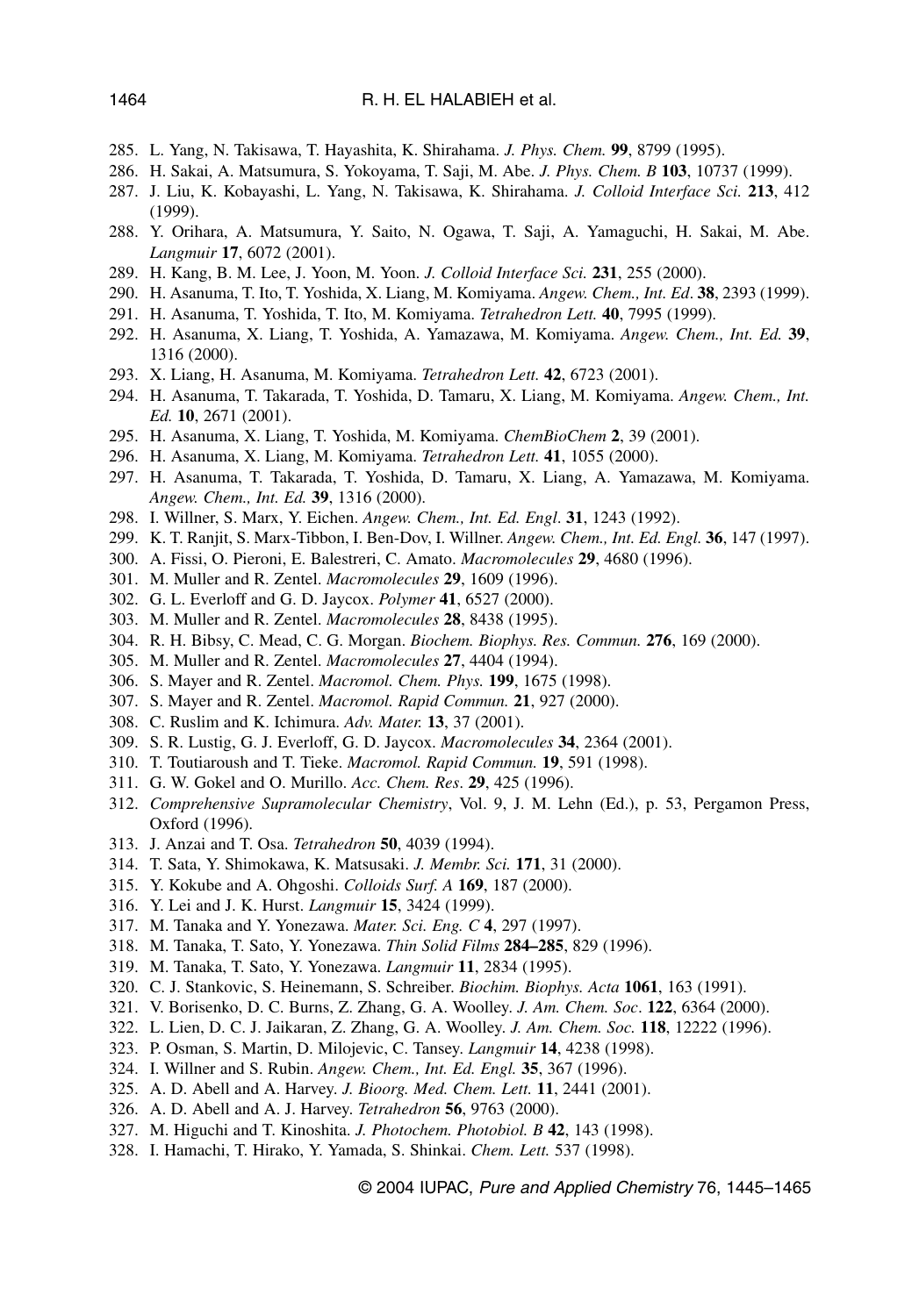- 285. L. Yang, N. Takisawa, T. Hayashita, K. Shirahama. *J. Phys. Chem.* **99**, 8799 (1995).
- 286. H. Sakai, A. Matsumura, S. Yokoyama, T. Saji, M. Abe. *J. Phys. Chem. B* **103**, 10737 (1999).
- 287. J. Liu, K. Kobayashi, L. Yang, N. Takisawa, K. Shirahama. *J. Colloid Interface Sci.* **213**, 412 (1999).
- 288. Y. Orihara, A. Matsumura, Y. Saito, N. Ogawa, T. Saji, A. Yamaguchi, H. Sakai, M. Abe. *Langmuir* **17**, 6072 (2001).
- 289. H. Kang, B. M. Lee, J. Yoon, M. Yoon. *J. Colloid Interface Sci.* **231**, 255 (2000).
- 290. H. Asanuma, T. Ito, T. Yoshida, X. Liang, M. Komiyama. *Angew. Chem., Int. Ed*. **38**, 2393 (1999).
- 291. H. Asanuma, T. Yoshida, T. Ito, M. Komiyama. *Tetrahedron Lett.* **40**, 7995 (1999).
- 292. H. Asanuma, X. Liang, T. Yoshida, A. Yamazawa, M. Komiyama. *Angew. Chem., Int. Ed.* **39**, 1316 (2000).
- 293. X. Liang, H. Asanuma, M. Komiyama. *Tetrahedron Lett.* **42**, 6723 (2001).
- 294. H. Asanuma, T. Takarada, T. Yoshida, D. Tamaru, X. Liang, M. Komiyama. *Angew. Chem., Int. Ed.* **10**, 2671 (2001).
- 295. H. Asanuma, X. Liang, T. Yoshida, M. Komiyama. *ChemBioChem* **2**, 39 (2001).
- 296. H. Asanuma, X. Liang, M. Komiyama. *Tetrahedron Lett.* **41**, 1055 (2000).
- 297. H. Asanuma, T. Takarada, T. Yoshida, D. Tamaru, X. Liang, A. Yamazawa, M. Komiyama. *Angew. Chem., Int. Ed.* **39**, 1316 (2000).
- 298. I. Willner, S. Marx, Y. Eichen. *Angew. Chem., Int. Ed. Engl*. **31**, 1243 (1992).
- 299. K. T. Ranjit, S. Marx-Tibbon, I. Ben-Dov, I. Willner. *Angew. Chem., Int. Ed. Engl.* **36**, 147 (1997).
- 300. A. Fissi, O. Pieroni, E. Balestreri, C. Amato. *Macromolecules* **29**, 4680 (1996).
- 301. M. Muller and R. Zentel. *Macromolecules* **29**, 1609 (1996).
- 302. G. L. Everloff and G. D. Jaycox. *Polymer* **41**, 6527 (2000).
- 303. M. Muller and R. Zentel. *Macromolecules* **28**, 8438 (1995).
- 304. R. H. Bibsy, C. Mead, C. G. Morgan. *Biochem. Biophys. Res. Commun.* **276**, 169 (2000).
- 305. M. Muller and R. Zentel. *Macromolecules* **27**, 4404 (1994).
- 306. S. Mayer and R. Zentel. *Macromol. Chem. Phys.* **199**, 1675 (1998).
- 307. S. Mayer and R. Zentel. *Macromol. Rapid Commun.* **21**, 927 (2000).
- 308. C. Ruslim and K. Ichimura. *Adv. Mater.* **13**, 37 (2001).
- 309. S. R. Lustig, G. J. Everloff, G. D. Jaycox. *Macromolecules* **34**, 2364 (2001).
- 310. T. Toutiaroush and T. Tieke. *Macromol. Rapid Commun.* **19**, 591 (1998).
- 311. G. W. Gokel and O. Murillo. *Acc. Chem. Res*. **29**, 425 (1996).
- 312. *Comprehensive Supramolecular Chemistry*, Vol. 9, J. M. Lehn (Ed.), p. 53, Pergamon Press, Oxford (1996).
- 313. J. Anzai and T. Osa. *Tetrahedron* **50**, 4039 (1994).
- 314. T. Sata, Y. Shimokawa, K. Matsusaki. *J. Membr. Sci.* **171**, 31 (2000).
- 315. Y. Kokube and A. Ohgoshi. *Colloids Surf. A* **169**, 187 (2000).
- 316. Y. Lei and J. K. Hurst. *Langmuir* **15**, 3424 (1999).
- 317. M. Tanaka and Y. Yonezawa. *Mater. Sci. Eng. C* **4**, 297 (1997).
- 318. M. Tanaka, T. Sato, Y. Yonezawa. *Thin Solid Films* **284–285**, 829 (1996).
- 319. M. Tanaka, T. Sato, Y. Yonezawa. *Langmuir* **11**, 2834 (1995).
- 320. C. J. Stankovic, S. Heinemann, S. Schreiber. *Biochim. Biophys. Acta* **1061**, 163 (1991).
- 321. V. Borisenko, D. C. Burns, Z. Zhang, G. A. Woolley. *J. Am. Chem. Soc*. **122**, 6364 (2000).
- 322. L. Lien, D. C. J. Jaikaran, Z. Zhang, G. A. Woolley. *J. Am. Chem. Soc.* **118**, 12222 (1996).
- 323. P. Osman, S. Martin, D. Milojevic, C. Tansey. *Langmuir* **14**, 4238 (1998).
- 324. I. Willner and S. Rubin. *Angew. Chem., Int. Ed. Engl.* **35**, 367 (1996).
- 325. A. D. Abell and A. Harvey. *J. Bioorg. Med. Chem. Lett.* **11**, 2441 (2001).
- 326. A. D. Abell and A. J. Harvey. *Tetrahedron* **56**, 9763 (2000).
- 327. M. Higuchi and T. Kinoshita. *J. Photochem. Photobiol. B* **42**, 143 (1998).
- 328. I. Hamachi, T. Hirako, Y. Yamada, S. Shinkai. *Chem. Lett.* 537 (1998).